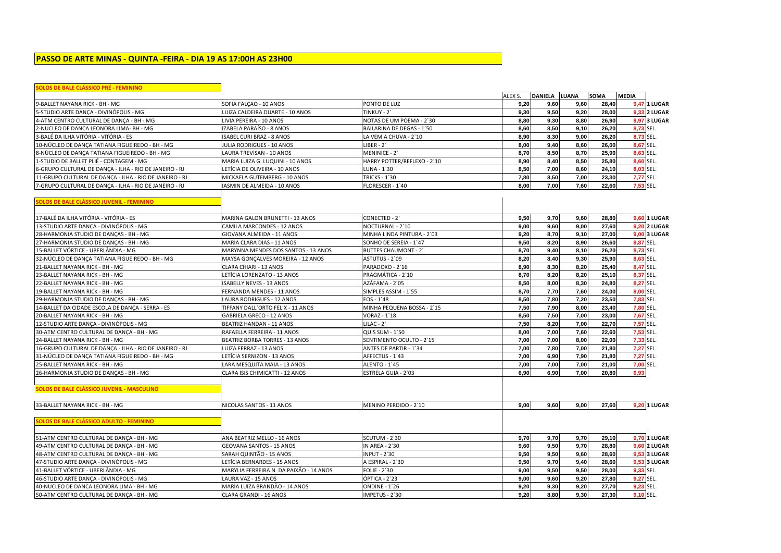# **PASSO DE ARTE MINAS - QUINTA -FEIRA - DIA 19 AS 17:00H AS 23H00**

| OLOS DE BALE CLÁSSICO PRÉ - FEMININO                    |                                         |                             |         |                |              |             |              |                     |
|---------------------------------------------------------|-----------------------------------------|-----------------------------|---------|----------------|--------------|-------------|--------------|---------------------|
|                                                         |                                         |                             | ALEX S. | <b>DANIELA</b> | <b>LUANA</b> | <b>SOMA</b> | <b>MEDIA</b> |                     |
| 9-BALLET NAYANA RICK - BH - MG                          | SOFIA FALCAO - 10 ANOS                  | PONTO DE LUZ                | 9,20    | 9,60           | 9,60         | 28,40       |              | 9,47 1 LUGAR        |
| 5-STUDIO ARTE DANCA - DIVINÓPOLIS - MG                  | LUIZA CALDEIRA DUARTE - 10 ANOS         | TINKUY - 2`                 | 9,30    | 9,50           | 9,20         | 28,00       |              | 9,33 2 LUGAR        |
| 4-ATM CENTRO CULTURAL DE DANCA - BH - MG                | LIVIA PEREIRA - 10 ANOS                 | NOTAS DE UM POEMA - 2'30    | 8,80    | 9,30           | 8,80         | 26,90       |              | 8,97 3 LUGAR        |
| 2-NUCLEO DE DANCA LEONORA LIMA- BH - MG                 | IZABELA PARAÍSO - 8 ANOS                | BAILARINA DE DEGAS - 1'50   | 8,60    | 8,50           | 9,10         | 26,20       |              | 8,73 SEL.           |
| 3-BALÉ DA ILHA VITÓRIA - VITÓRIA - ES                   | ISABEL CURI BRAZ - 8 ANOS               | LA VEM A CHUVA - 2'10       | 8,90    | 8,30           | 9,00         | 26,20       |              | 8,73 SEL.           |
| 10-NÚCLEO DE DANÇA TATIANA FIGUEIREDO - BH - MG         | JULIA RODRIGUES - 10 ANOS               | $LIBER - 2$                 | 8,00    | 9,40           | 8,60         | 26,00       |              | 8,67 SEL.           |
| 8-NÚCLEO DE DANÇA TATIANA FIGUEIREDO - BH - MG          | LAURA TREVISAN - 10 ANOS                | MENINICE - 2                | 8,70    | 8,50           | 8,70         | 25,90       |              | 8,63 SEL.           |
| 1-STUDIO DE BALLET PLIÉ - CONTAGEM - MG                 | MARIA LUIZA G. LUQUINI - 10 ANOS        | HARRY POTTER/REFLEXO - 2'10 | 8,90    | 8,40           | 8,50         | 25,80       |              | 8.60 SEL.           |
| 6-GRUPO CULTURAL DE DANÇA - ILHA - RIO DE JANEIRO - RJ  | LETÍCIA DE OLIVEIRA - 10 ANOS           | LUNA - 1`30                 | 8,50    | 7,00           | 8,60         | 24,10       | 8,03 SEL.    |                     |
| 11-GRUPO CULTURAL DE DANÇA - ILHA - RIO DE JANEIRO - RJ | MICKAELA GUTEMBERG - 10 ANOS            | <b>TRICKS - 1'30</b>        | 7,80    | 8,50           | 7,00         | 23,30       |              | 7,77 SEL.           |
| 7-GRUPO CULTURAL DE DANÇA - ILHA - RIO DE JANEIRO - RJ  | IASMIN DE ALMEIDA - 10 ANOS             | FLORESCER - 1'40            | 8,00    | 7,00           | 7,60         | 22,60       | 7,53 SEL.    |                     |
| OLOS DE BALE CLÁSSICO JUVENIL - FEMININO                |                                         |                             |         |                |              |             |              |                     |
| 17-BALÉ DA ILHA VITÓRIA - VITÓRIA - ES                  | MARINA GALON BRUNETTI - 13 ANOS         | CONECTED - 2                | 9,50    | 9,70           | 9,60         | 28,80       |              | <b>9,60 1 LUGAR</b> |
| 13-STUDIO ARTE DANCA - DIVINÓPOLIS - MG                 | CAMILA MARCONDES - 12 ANOS              | NOCTURNAL - 2'10            | 9,00    | 9,60           | 9.00         | 27,60       |              | <b>9,20 2 LUGAR</b> |
| 28-HARMONIA STUDIO DE DANÇAS - BH - MG                  | GIOVANA ALMEIDA - 11 ANOS               | MINHA LINDA PINTURA - 2`03  | 9,20    | 8,70           | 9,10         | 27,00       |              | 9,00 3 LUGAR        |
| 27-HARMONIA STUDIO DE DANÇAS - BH - MG                  | MARIA CLARA DIAS - 11 ANOS              | SONHO DE SEREIA - 1'47      | 9,50    | 8,20           | 8,90         | 26,60       |              | 8,87 SEL.           |
| 15-BALLET VÓRTICE - UBERLÂNDIA - MG                     | MARYNNA MENDES DOS SANTOS - 13 ANOS     | <b>BUTTES CHAUMONT - 2'</b> | 8,70    | 9,40           | 8,10         | 26,20       |              | 8,73 SEL.           |
| 32-NÚCLEO DE DANÇA TATIANA FIGUEIREDO - BH - MG         | MAYSA GONCALVES MOREIRA - 12 ANOS       | ASTUTUS - 2`09              | 8,20    | 8,40           | 9,30         | 25,90       | 8.63 SEL.    |                     |
| 21-BALLET NAYANA RICK - BH - MG                         | CLARA CHIARI - 13 ANOS                  | PARADOXO - 2`16             | 8,90    | 8,30           | 8,20         | 25,40       |              | 8,47 SEL.           |
| 23-BALLET NAYANA RICK - BH - MG                         | LETÍCIA LORENZATO - 13 ANOS             | PRAGMÁTICA - 2`10           | 8,70    | 8,20           | 8,20         | 25,10       | 8,37 SEL.    |                     |
| 22-BALLET NAYANA RICK - BH - MG                         | <b>ISABELLY NEVES - 13 ANOS</b>         | AZÁFAMA - 2`05              | 8,50    | 8,00           | 8,30         | 24,80       | 8,27 SEL.    |                     |
| 19-BALLET NAYANA RICK - BH - MG                         | FERNANDA MENDES - 11 ANOS               | SIMPLES ASSIM - 1'55        | 8,70    | 7,70           | 7,60         | 24,00       | 8,00 SEL.    |                     |
| 29-HARMONIA STUDIO DE DANÇAS - BH - MG                  | LAURA RODRIGUES - 12 ANOS               | EOS - 1`48                  | 8,50    | 7,80           | 7,20         | 23,50       |              | 7,83 SEL.           |
| 14-BALLET DA CIDADE ESCOLA DE DANÇA - SERRA - ES        | TIFFANY DALL'ORTO FELIX - 11 ANOS       | MINHA PEQUENA BOSSA - 2'15  | 7,50    | 7,90           | 8,00         | 23,40       | 7,80 SEL.    |                     |
| 20-BALLET NAYANA RICK - BH - MG                         | GABRIELA GRECO - 12 ANOS                | VORAZ - 1'18                | 8,50    | 7,50           | 7,00         | 23,00       | 7,67 SEL.    |                     |
| 12-STUDIO ARTE DANÇA - DIVINÓPOLIS - MG                 | BEATRIZ HANDAN - 11 ANOS                | LILAC - 2`                  | 7,50    | 8,20           | 7,00         | 22,70       |              | 7,57 SEL.           |
| 30-ATM CENTRO CULTURAL DE DANCA - BH - MG               | RAFAELLA FERREIRA - 11 ANOS             | <b>QUIS SUM - 1'50</b>      | 8,00    | 7,00           | 7,60         | 22,60       | 7,53 SEL.    |                     |
| 24-BALLET NAYANA RICK - BH - MG                         | BEATRIZ BORBA TORRES - 13 ANOS          | SENTIMENTO OCULTO - 2'15    | 7,00    | 7,00           | 8,00         | 22,00       | 7,33 SEL.    |                     |
| 16-GRUPO CULTURAL DE DANÇA - ILHA - RIO DE JANEIRO - RJ | LUIZA FERRAZ - 13 ANOS                  | ANTES DE PARTIR - 1'34      | 7,00    | 7,80           | 7,00         | 21,80       | 7,27 SEL.    |                     |
| 31-NÚCLEO DE DANÇA TATIANA FIGUEIREDO - BH - MG         | LETÍCIA SERNIZON - 13 ANOS              | AFFECTUS - 1`43             | 7,00    | 6,90           | 7,90         | 21,80       | 7,27 SEL.    |                     |
| 25-BALLET NAYANA RICK - BH - MG                         | LARA MESQUITA MAIA - 13 ANOS            | ALENTO - 1'45               | 7,00    | 7,00           | 7,00         | 21,00       | 7,00 SEL.    |                     |
| 26-HARMONIA STUDIO DE DANÇAS - BH - MG                  | CLARA ISIS CHIMICATTI - 12 ANOS         | ESTRELA GUIA - 2`03         | 6.90    | 6,90           | 7,00         | 20,80       | 6,93         |                     |
| SOLOS DE BALE CLÁSSICO JUVENIL - MASCULINO              |                                         |                             |         |                |              |             |              |                     |
| 33-BALLET NAYANA RICK - BH - MG                         | NICOLAS SANTOS - 11 ANOS                | MENINO PERDIDO - 2'10       | 9,00    | 9,60           | 9,00         | 27,60       |              | 9,20 1 LUGAR        |
| SOLOS DE BALE CLÁSSICO ADULTO - FEMININO                |                                         |                             |         |                |              |             |              |                     |
|                                                         |                                         |                             |         |                |              |             |              |                     |
| 51-ATM CENTRO CULTURAL DE DANCA - BH - MG               | ANA BEATRIZ MELLO - 16 ANOS             | <b>SCUTUM - 2'30</b>        | 9,70    | 9,70           | 9,70         | 29,10       |              | <b>9,70 1 LUGAR</b> |
| 49-ATM CENTRO CULTURAL DE DANCA - BH - MG               | <b>GEOVANA SANTOS - 15 ANOS</b>         | IN AREA - 2`30              | 9,60    | 9,50           | 9,70         | 28,80       |              | <b>9,60 2 LUGAR</b> |
| 48-ATM CENTRO CULTURAL DE DANÇA - BH - MG               | SARAH QUINTÃO - 15 ANOS                 | <b>INPUT - 2'30</b>         | 9,50    | 9,50           | 9,60         | 28,60       |              | 9,53 3 LUGAR        |
| 47-STUDIO ARTE DANCA - DIVINÓPOLIS - MG                 | LETÍCIA BERNARDES - 15 ANOS             | A ESPIRAL - 2`30            | 9,50    | 9,70           | 9,40         | 28,60       |              | 9,53 3 LUGAR        |
| 41-BALLET VÓRTICE - UBERLÂNDIA - MG                     | MARYLIA FERREIRA N. DA PAIXÃO - 14 ANOS | <b>FOLIE - 2'30</b>         | 9,00    | 9,50           | 9,50         | 28,00       |              | 9,33 SEL.           |
| 46-STUDIO ARTE DANÇA - DIVINÓPOLIS - MG                 | LAURA VAZ - 15 ANOS                     | ÓPTICA - 2`23               | 9,00    | 9,60           | 9,20         | 27,80       |              | 9,27 SEL.           |
| 40-NUCLEO DE DANCA LEONORA LIMA - BH - MG               | MARIA LUIZA BRANDÃO - 14 ANOS           | ONDINE - 1'26               | 9,20    | 9,30           | 9,20         | 27,70       |              | 9,23 SEL.           |
| 50-ATM CENTRO CULTURAL DE DANCA - BH - MG               | CLARA GRANDI - 16 ANOS                  | IMPETUS - 2'30              | 9,20    | 8,80           | 9.30         | 27,30       | 9,10 SEL.    |                     |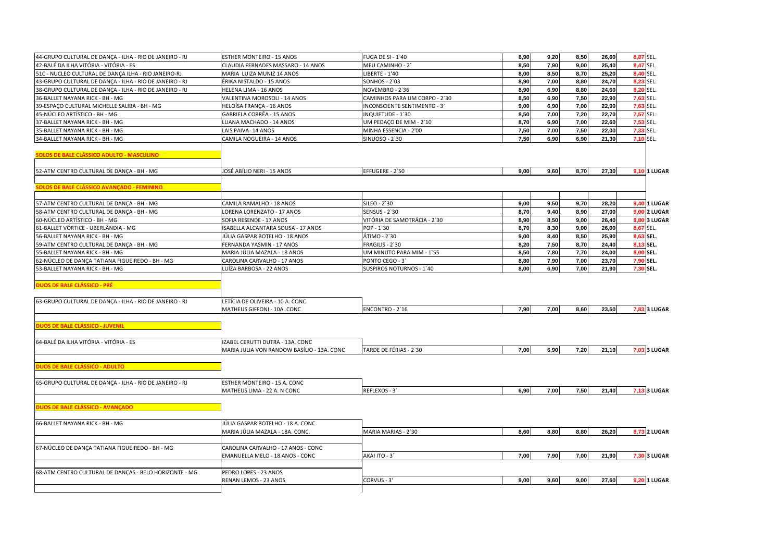| 44-GRUPO CULTURAL DE DANÇA - ILHA - RIO DE JANEIRO - RJ                                | ESTHER MONTEIRO - 15 ANOS                                       | FUGA DE SI - 1'40             | 8,90 | 9,20 | 8,50 | 26,60 | 8,87 SEL.                                                                                  |
|----------------------------------------------------------------------------------------|-----------------------------------------------------------------|-------------------------------|------|------|------|-------|--------------------------------------------------------------------------------------------|
| 42-BALÉ DA ILHA VITÓRIA - VITÓRIA - ES                                                 | CLAUDIA FERNADES MASSARO - 14 ANOS                              | MEU CAMINHO - 2'              | 8,50 | 7,90 | 9,00 | 25,40 | 8,47 SEL.                                                                                  |
| 51C - NUCLEO CULTURAL DE DANÇA ILHA - RIO JANEIRO-RJ                                   | MARIA LUIZA MUNIZ 14 ANOS                                       | <b>LIBERTE - 1'40</b>         | 8,00 | 8,50 | 8,70 | 25,20 | 8,40 SEL.                                                                                  |
| 43-GRUPO CULTURAL DE DANCA - ILHA - RIO DE JANEIRO - RJ                                | ÉRIKA NISTALDO - 15 ANOS                                        | <b>SONHOS - 2`03</b>          | 8,90 | 7.00 | 8,80 | 24,70 | 8,23 SEL.                                                                                  |
| 38-GRUPO CULTURAL DE DANÇA - ILHA - RIO DE JANEIRO - RJ                                | HELENA LIMA - 16 ANOS                                           | NOVEMBRO - 2`36               | 8,90 | 6,90 | 8,80 | 24,60 | 8,20 SEL.                                                                                  |
| 36-BALLET NAYANA RICK - BH - MG                                                        | VALENTINA MOROSOLI - 14 ANOS                                    | CAMINHOS PARA UM CORPO - 2'30 | 8,50 | 6,90 | 7,50 | 22,90 | 7,63 SEL.                                                                                  |
| 39-ESPAÇO CULTURAL MICHELLE SALIBA - BH - MG                                           | HELOÍSA FRANÇA - 16 ANOS                                        | INCONSCIENTE SENTIMENTO - 3'  | 9,00 | 6,90 | 7,00 | 22,90 | 7,63 SEL.                                                                                  |
| 45-NÚCLEO ARTÍSTICO - BH - MG                                                          | GABRIELA CORRÊA - 15 ANOS                                       | INQUIETUDE - 1'30             | 8,50 | 7,00 | 7,20 | 22,70 | 7,57 SEL.                                                                                  |
| 37-BALLET NAYANA RICK - BH - MG                                                        | LUANA MACHADO - 14 ANOS                                         | UM PEDAÇO DE MIM - 2`10       | 8,70 | 6,90 | 7,00 | 22,60 | 7,53 SEL.                                                                                  |
| 35-BALLET NAYANA RICK - BH - MG                                                        | LAIS PAIVA-14 ANOS                                              | MINHA ESSENCIA - 2'00         | 7,50 | 7,00 | 7,50 | 22,00 | 7,33 SEL.                                                                                  |
| 34-BALLET NAYANA RICK - BH - MG                                                        | CAMILA NOGUEIRA - 14 ANOS                                       | SINUOSO - 2'30                | 7,50 | 6,90 | 6.90 | 21,30 | 7.10 SEL.                                                                                  |
| SOLOS DE BALE CLÁSSICO ADULTO - MASCULINO                                              |                                                                 |                               |      |      |      |       |                                                                                            |
| 52-ATM CENTRO CULTURAL DE DANÇA - BH - MG                                              | JOSÉ ABÍLIO NERI - 15 ANOS                                      | EFFUGERE - 2`50               | 9.00 | 9,60 | 8,70 | 27,30 | 9,10 1 LUGAR                                                                               |
| <b>SOLOS DE BALE CLÁSSICO AVANÇADO - FEMININO</b>                                      |                                                                 |                               |      |      |      |       |                                                                                            |
|                                                                                        |                                                                 |                               |      |      |      |       |                                                                                            |
| 57-ATM CENTRO CULTURAL DE DANÇA - BH - MG                                              | CAMILA RAMALHO - 18 ANOS                                        | SILEO - 2'30                  | 9,00 | 9,50 | 9,70 | 28,20 | <b>9,40 1 LUGAR</b>                                                                        |
| 58-ATM CENTRO CULTURAL DE DANÇA - BH - MG                                              | LORENA LORENZATO - 17 ANOS                                      | <b>SENSUS - 2'30</b>          | 8,70 | 9,40 | 8,90 | 27,00 | <b>9,00 2 LUGAR</b>                                                                        |
| 60-NÚCLEO ARTÍSTICO - BH - MG                                                          | SOFIA RESENDE - 17 ANOS                                         | VITÓRIA DE SAMOTRÁCIA - 2'30  | 8,90 | 8,50 | 9,00 | 26,40 | 8,80 3 LUGAR                                                                               |
| 61-BALLET VÓRTICE - UBERLÂNDIA - MG                                                    | ISABELLA ALCANTARA SOUSA - 17 ANOS                              | POP - 1'30                    | 8,70 | 8,30 | 9,00 | 26,00 | 8,67 SEL.                                                                                  |
| 56-BALLET NAYANA RICK - BH - MG                                                        | JÚLIA GASPAR BOTELHO - 18 ANOS                                  | ÁTIMO - 2`30                  | 9,00 | 8,40 | 8,50 | 25,90 | 8,63 SEL.                                                                                  |
| 59-ATM CENTRO CULTURAL DE DANÇA - BH - MG                                              | FERNANDA YASMIN - 17 ANOS                                       | FRAGILIS - 2'30               | 8,20 | 7,50 | 8,70 | 24,40 | 8,13 SEL.                                                                                  |
| 55-BALLET NAYANA RICK - BH - MG                                                        | MARIA JÚLIA MAZALA - 18 ANOS                                    | UM MINUTO PARA MIM - 1'55     | 8,50 | 7,80 | 7,70 | 24,00 | 8.00 SEL.                                                                                  |
| 62-NÚCLEO DE DANÇA TATIANA FIGUEIREDO - BH - MG                                        | CAROLINA CARVALHO - 17 ANOS                                     | PONTO CEGO - 3                | 8,80 | 7,90 | 7,00 | 23,70 | 7,90 SEL.                                                                                  |
| 53-BALLET NAYANA RICK - BH - MG                                                        | LUÍZA BARBOSA - 22 ANOS                                         | SUSPIROS NOTURNOS - 1'40      | 8,00 | 6,90 | 7,00 | 21,90 | 7,30 SEL.                                                                                  |
| DUOS DE BALE CLÁSSICO - PRÉ<br>63-GRUPO CULTURAL DE DANÇA - ILHA - RIO DE JANEIRO - RJ | LETÍCIA DE OLIVEIRA - 10 A. CONC<br>MATHEUS GIFFONI - 10A. CONC | ENCONTRO - 2`16               | 7,90 | 7,00 | 8.60 | 23,50 | 7,83 3 LUGAR                                                                               |
| DUOS DE BALE CLÁSSICO - JUVENIL                                                        |                                                                 |                               |      |      |      |       |                                                                                            |
| 64-BALÉ DA ILHA VITÓRIA - VITÓRIA - ES                                                 |                                                                 |                               |      |      |      |       |                                                                                            |
|                                                                                        | IZABEL CERUTTI DUTRA - 13A. CONC                                |                               |      |      |      |       |                                                                                            |
|                                                                                        | MARIA JULIA VON RANDOW BASÍLIO - 13A. CONC                      | TARDE DE FÉRIAS - 2'30        | 7,00 | 6,90 | 7,20 | 21,10 |                                                                                            |
|                                                                                        |                                                                 |                               |      |      |      |       |                                                                                            |
| <b>DUOS DE BALE CLÁSSICO - ADULTO</b>                                                  |                                                                 |                               |      |      |      |       |                                                                                            |
|                                                                                        |                                                                 |                               |      |      |      |       |                                                                                            |
| 65-GRUPO CULTURAL DE DANÇA - ILHA - RIO DE JANEIRO - RJ                                | ESTHER MONTEIRO - 15 A. CONC                                    |                               |      |      |      |       |                                                                                            |
|                                                                                        | MATHEUS LIMA - 22 A. N CONC                                     | REFLEXOS - 3                  | 6,90 | 7,00 | 7,50 | 21,40 |                                                                                            |
| <b>DUOS DE BALE CLÁSSICO - AVANÇADO</b>                                                |                                                                 |                               |      |      |      |       |                                                                                            |
| 66-BALLET NAYANA RICK - BH - MG                                                        | JÚLIA GASPAR BOTELHO - 18 A. CONC.                              |                               |      |      |      |       |                                                                                            |
|                                                                                        | MARIA JÚLIA MAZALA - 18A. CONC.                                 | MARIA MARIAS - 2`30           | 8,60 | 8,80 | 8,80 | 26,20 |                                                                                            |
|                                                                                        |                                                                 |                               |      |      |      |       |                                                                                            |
| 67-NÚCLEO DE DANÇA TATIANA FIGUEIREDO - BH - MG                                        | CAROLINA CARVALHO - 17 ANOS - CONC                              |                               |      |      |      |       |                                                                                            |
|                                                                                        | EMANUELLA MELO - 18 ANOS - CONC                                 | AKAI ITO - 3                  | 7,00 | 7,90 | 7,00 | 21,90 |                                                                                            |
|                                                                                        |                                                                 |                               |      |      |      |       |                                                                                            |
| 68-ATM CENTRO CULTURAL DE DANÇAS - BELO HORIZONTE - MG                                 | PEDRO LOPES - 23 ANOS<br>RENAN LEMOS - 23 ANOS                  | CORVUS - 3'                   | 9.00 | 9,60 | 9,00 | 27,60 | 7,03 3 LUGAR<br>7,13 3 LUGAR<br><b>8,73 2 LUGAR</b><br>7,30 3 LUGAR<br><b>9,20 1 LUGAR</b> |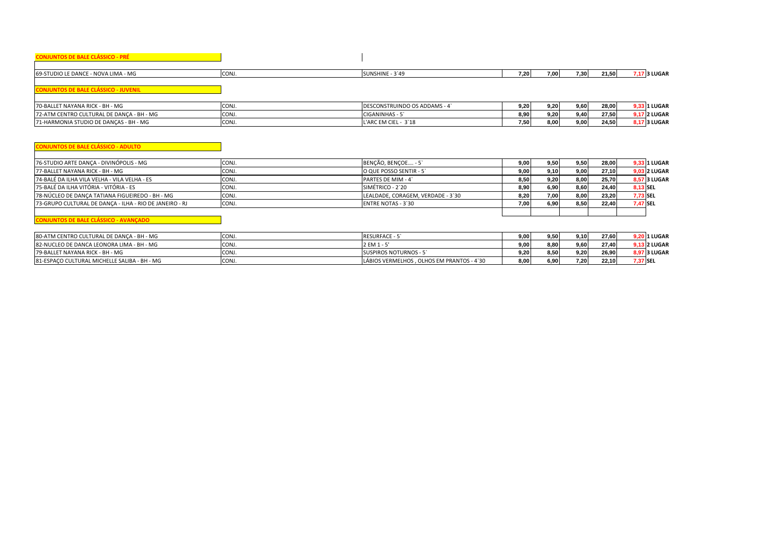| <b>CONJUNTOS DE BALE CLÁSSICO - PRÉ</b>                 |       |                                   |      |      |      |       |                     |
|---------------------------------------------------------|-------|-----------------------------------|------|------|------|-------|---------------------|
|                                                         |       |                                   |      |      |      |       |                     |
| 69-STUDIO LE DANCE - NOVA LIMA - MG                     | CONJ. | SUNSHINE - 3'49                   | 7,20 | 7,00 | 7,30 | 21,50 | 7,17 3 LUGAR        |
|                                                         |       |                                   |      |      |      |       |                     |
| <b>CONJUNTOS DE BALE CLÁSSICO - JUVENIL</b>             |       |                                   |      |      |      |       |                     |
|                                                         |       |                                   |      |      |      |       |                     |
| 70-BALLET NAYANA RICK - BH - MG                         | CONJ. | DESCONSTRUINDO OS ADDAMS - 4      | 9,20 | 9,20 | 9,60 | 28,00 | 9,33 1 I UGAR       |
| 72-ATM CENTRO CULTURAL DE DANÇA - BH - MG               | CONJ. | CIGANINHAS - 5                    | 8,90 | 9,20 | 9,40 | 27,50 | 9,17 2 LUGAR        |
| 71-HARMONIA STUDIO DE DANÇAS - BH - MG                  | CONJ. | L'ARC EM CIEL - 3`18              | 7,50 | 8,00 | 9,00 | 24,50 | 8,17 3 LUGAR        |
|                                                         |       |                                   |      |      |      |       |                     |
|                                                         |       |                                   |      |      |      |       |                     |
| <b>CONJUNTOS DE BALE CLÁSSICO - ADULTO</b>              |       |                                   |      |      |      |       |                     |
| 76-STUDIO ARTE DANCA - DIVINÓPOLIS - MG                 | CONJ. | BENÇÃO, BENÇOE - 5                | 9,00 | 9,50 | 9,50 | 28,00 | 9,33 1 I UGAR       |
| 77-BALLET NAYANA RICK - BH - MG                         | CONJ. | O QUE POSSO SENTIR - 5'           | 9,00 | 9.10 | 9,00 | 27,10 | 9,03 2 LUGAR        |
| 74-BALÉ DA ILHA VILA VELHA - VILA VELHA - ES            | CONJ. | PARTES DE MIM - 4                 | 8,50 | 9,20 | 8,00 | 25,70 | <b>8.57 3 LUGAR</b> |
| 75-BALÉ DA ILHA VITÓRIA - VITÓRIA - ES                  | CONJ. | SIMÉTRICO - 2`20                  | 8,90 | 6,90 | 8,60 | 24,40 | 8,13 SEL            |
| 78-NÚCLEO DE DANCA TATIANA FIGUEIREDO - BH - MG         | CONJ. | LEALDADE, CORAGEM, VERDADE - 3`30 | 8,20 | 7,00 | 8,00 | 23,20 | 7,73 SEL            |
| 73-GRUPO CULTURAL DE DANÇA - ILHA - RIO DE JANEIRO - RJ | CONJ. | <b>ENTRE NOTAS - 3'30</b>         | 7,00 | 6,90 | 8,50 | 22,40 | 7,47 SEL            |
|                                                         |       |                                   |      |      |      |       |                     |

## **CONJUNTOS DE BALE CLÁSSICO - AVANÇADO**

| 80-ATM CENTRO CULTURAL DE DANCA - BH - MG    | <b>CONJ</b>      | <b>RESURFACE -</b>                         | 9.00 <sub>1</sub> | 9.50 | 9.10   | 27,60 | 1 LUGAR             |
|----------------------------------------------|------------------|--------------------------------------------|-------------------|------|--------|-------|---------------------|
| 82-NUCLEO DE DANCA LEONORA LIMA - BH - MG    | CON <sub>J</sub> | 2 EM 1                                     | 9.00.             | 8.80 | 9,60   | 27.40 | <b>9.13 2 LUGAR</b> |
| 79-BALLET NAYANA RICK - BH - MG              | CON.             | <b>SUSPIROS NOTURNOS - 5</b>               | 9.20              | 8.50 | 9.20 l | 26.90 | <b>8.97 3 LUGAR</b> |
| 81-ESPACO CULTURAL MICHELLE SALIBA - BH - MG | <b>CONJ</b>      | LÁBIOS VERMELHOS . OLHOS EM PRANTOS - 4`30 | 8.00              | 6.90 | 7.20   | 22,10 | 7.37 SEL            |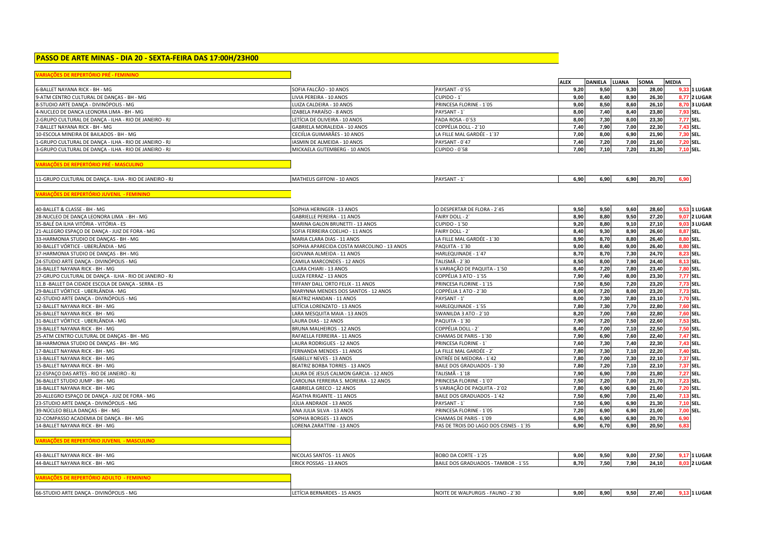# **PASSO DE ARTE MINAS - DIA 20 - SEXTA-FEIRA DAS 17:00H/23H00**

|  | the contract of the contract of the contract of the contract of the contract of the contract of the contract of |  |
|--|-----------------------------------------------------------------------------------------------------------------|--|
|  |                                                                                                                 |  |
|  | <b>ANALYLS DE NEFERTURIO FRE - FEMINING</b>                                                                     |  |

|                                                         |                                            |                                        | <b>ALEX</b> | DANIELA LUANA |      | <b>SOMA</b> | <b>MEDIA</b>        |
|---------------------------------------------------------|--------------------------------------------|----------------------------------------|-------------|---------------|------|-------------|---------------------|
| 6-BALLET NAYANA RICK - BH - MG                          | SOFIA FALCÃO - 10 ANOS                     | PAYSANT - 0'55                         | 9,20        | 9,50          | 9,30 | 28,00       | 9,33 1 LUGAR        |
| 9-ATM CENTRO CULTURAL DE DANÇAS - BH - MG               | LIVIA PEREIRA - 10 ANOS                    | CUPIDO - 1                             | 9.00        | 8,40          | 8,90 | 26,30       | <b>8,77 2 LUGAR</b> |
| 8-STUDIO ARTE DANÇA - DIVINÓPOLIS - MG                  | LUIZA CALDEIRA - 10 ANOS                   | PRINCESA FLORINE - 1'05                | 9,00        | 8,50          | 8,60 | 26,10       | <b>8.70 3 LUGAR</b> |
| 4-NUCLEO DE DANCA LEONORA LIMA - BH - MG                | IZABELA PARAÍSO - 8 ANOS                   | PAYSANT - 1                            | 8.00        | 7.40          | 8.40 | 23.80       | 7.93 SEL.           |
| 2-GRUPO CULTURAL DE DANÇA - ILHA - RIO DE JANEIRO - RJ  | LETÍCIA DE OLIVEIRA - 10 ANOS              | FADA ROSA - 0'53                       | 8,00        | 7,30          | 8,00 | 23,30       | 7,77 SEL.           |
| 7-BALLET NAYANA RICK - BH - MG                          | GABRIELA MORALEIDA - 10 ANOS               | COPPÉLIA DOLL - 2`10                   | 7,40        | 7,90          | 7,00 | 22,30       | 7,43 SEL.           |
| 10-ESCOLA MINEIRA DE BAILADOS - BH - MG                 | CECIÍLIA GUIMARÃES - 10 ANOS               | LA FILLE MAL GARDÉE - 1`37             | 7,00        | 8,00          | 6,90 | 21,90       | 7.30 SEL.           |
| 1-GRUPO CULTURAL DE DANÇA - ILHA - RIO DE JANEIRO - RJ  | <b>IASMIN DE ALMEIDA - 10 ANOS</b>         | PAYSANT - 0'47                         | 7,40        | 7,20          | 7,00 | 21,60       | 7,20 SEL.           |
| 3-GRUPO CULTURAL DE DANÇA - ILHA - RIO DE JANEIRO - RJ  | MICKAELA GUTEMBERG - 10 ANOS               | <b>CUPIDO - 0'58</b>                   | 7,00        | 7,10          | 7,20 | 21,30       | 7,10 SEL.           |
| ARIACÕES DE REPERTÓRIO PRÉ - MASCULINO                  |                                            |                                        |             |               |      |             |                     |
| 11-GRUPO CULTURAL DE DANÇA - ILHA - RIO DE JANEIRO - RJ | MATHEUS GIFFONI - 10 ANOS                  | PAYSANT - 1                            | 6,90        | 6,90          | 6,90 | 20,70       | 6.90                |
| <b>ARIACÕES DE REPERTÓRIO JUVENIL - FEMININO</b>        |                                            |                                        |             |               |      |             |                     |
| 40-BALLET & CLASSE - BH - MG                            | SOPHIA HERINGER - 13 ANOS                  | O DESPERTAR DE FLORA - 2'45            | 9,50        | 9,50          | 9,60 | 28,60       | 9,53 1 LUGAR        |
| 28-NUCLEO DE DANÇA LEONORA LIMA - BH - MG               | <b>GABRIELLE PEREIRA - 11 ANOS</b>         | FAIRY DOLL - 2                         | 8,90        | 8,80          | 9,50 | 27,20       | <b>9,07 2 LUGAR</b> |
| 35-BALÉ DA ILHA VITÓRIA - VITÓRIA - ES                  | MARINA GALON BRUNETTI - 13 ANOS            | <b>CUPIDO - 1'50</b>                   | 9,20        | 8,80          | 9,10 | 27,10       | 9,03 3 LUGAR        |
| 21-ALLEGRO ESPAÇO DE DANÇA - JUIZ DE FORA - MG          | SOFIA FERREIRA COELHO - 11 ANOS            | FAIRY DOLL - 2                         | 8,40        | 9,30          | 8,90 | 26,60       | 8,87 SEL.           |
| 33-HARMONIA STUDIO DE DANÇAS - BH - MG                  | MARIA CLARA DIAS - 11 ANOS                 | LA FILLE MAL GARDÉE - 1'30             | 8,90        | 8,70          | 8,80 | 26,40       | 8.80 SEL.           |
| 30-BALLET VÓRTICE - UBERLÂNDIA - MG                     | SOPHIA APARECIDA COSTA MARCOLINO - 13 ANOS | PAQUITA - 1`30                         | 9.00        | 8,40          | 9,00 | 26.40       | 8.80 SEL.           |
| 37-HARMONIA STUDIO DE DANÇAS - BH - MG                  | GIOVANA ALMEIDA - 11 ANOS                  | HARLEQUINADE - 1'47                    | 8,70        | 8,70          | 7,30 | 24,70       | 8.23 SEL.           |
| 24-STUDIO ARTE DANCA - DIVINÓPOLIS - MG                 | CAMILA MARCONDES - 12 ANOS                 | TALISMÃ - 2`30                         | 8.50        | 8,00          | 7,90 | 24,40       | 8,13 SEL.           |
|                                                         |                                            | 6 VARIAÇÃO DE PAQUITA - 1'50           | 8,40        | 7,20          | 7.80 | 23,40       | 7.80 SEL.           |
| 16-BALLET NAYANA RICK - BH - MG                         | CLARA CHIARI - 13 ANOS                     |                                        | 7,90        | 7,40          | 8,00 | 23,30       | 7,77 SEL.           |
| 27-GRUPO CULTURAL DE DANÇA - ILHA - RIO DE JANEIRO - RJ | LUIZA FERRAZ - 13 ANOS                     | COPPÉLIA 3 ATO - 1'55                  |             |               |      |             |                     |
| 11.B - BALLET DA CIDADE ESCOLA DE DANÇA - SERRA - ES    | TIFFANY DALL'ORTO FELIX - 11 ANOS          | PRINCESA FLORINE - 1'15                | 7,50        | 8,50          | 7,20 | 23,20       | 7,73 SEL.           |
| 29-BALLET VÓRTICE - UBERLÂNDIA - MG                     | MARYNNA MENDES DOS SANTOS - 12 ANOS        | COPPÉLIA 1 ATO - 2`30                  | 8,00        | 7,20          | 8,00 | 23,20       | 7,73 SEL.           |
| 42-STUDIO ARTE DANCA - DIVINÓPOLIS - MG                 | BEATRIZ HANDAN - 11 ANOS                   | PAYSANT - 1'                           | 8,00        | 7,30          | 7,80 | 23.10       | 7.70 SEL.           |
| 12-BALLET NAYANA RICK - BH - MG                         | LETÍCIA LORENZATO - 13 ANOS                | HARLEQUINADE - 1'55                    | 7,80        | 7,30          | 7,70 | 22,80       | 7,60 SEL.           |
| 26-BALLET NAYANA RICK - BH - MG                         | LARA MESQUITA MAIA - 13 ANOS               | SWANILDA 3 ATO - 2`10                  | 8,20        | 7,00          | 7,60 | 22.80       | 7,60 SEL.           |
| 31-BALLET VÓRTICE - UBERLÂNDIA - MG                     | LAURA DIAS - 12 ANOS                       | PAQUITA - 1'30                         | 7,90        | 7,20          | 7,50 | 22.60       | 7.53 SEL.           |
| 19-BALLET NAYANA RICK - BH - MG                         | <b>BRUNA MALHEIROS - 12 ANOS</b>           | COPPÉLIA DOLL - 2                      | 8.40        | 7.00          | 7,10 | 22.50       | 7.50 SEL.           |
| 25-ATM CENTRO CULTURAL DE DANÇAS - BH - MG              | RAFAELLA FERREIRA - 11 ANOS                | CHAMAS DE PARIS - 1'30                 | 7,90        | 6,90          | 7,60 | 22.40       | 7,47 SEL.           |
| 38-HARMONIA STUDIO DE DANÇAS - BH - MG                  | LAURA RODRIGUES - 12 ANOS                  | PRINCESA FLORINE - 1                   | 7,60        | 7,30          | 7,40 | 22,30       | 7,43 SEL.           |
| 17-BALLET NAYANA RICK - BH - MG                         | FERNANDA MENDES - 11 ANOS                  | LA FILLE MAL GARDÉE - 2`               | 7,80        | 7,30          | 7,10 | 22,20       | 7,40 SEL.           |
| 13-BALLET NAYANA RICK - BH - MG                         | ISABELLY NEVES - 13 ANOS                   | ENTRÉE DE MEDORA - 1'42                | 7,80        | 7,00          | 7,30 | 22,10       | 7,37 SEL.           |
| 15-BALLET NAYANA RICK - BH - MG                         | BEATRIZ BORBA TORRES - 13 ANOS             | BAILE DOS GRADUADOS - 1'30             | 7,80        | 7,20          | 7,10 | 22,10       | 7,37 SEL.           |
| 22-ESPAÇO DAS ARTES - RIO DE JANEIRO - RJ               | LAURA DE JESUS CALMON GARCIA - 12 ANOS     | TALISMÃ - 1`18                         | 7,90        | 6,90          | 7,00 | 21,80       | 7,27 SEL.           |
| 36-BALLET STUDIO JUMP - BH - MG                         | CAROLINA FERREIRA S. MOREIRA - 12 ANOS     | PRINCESA FLORINE - 1'07                | 7,50        | 7,20          | 7,00 | 21,70       | 7,23 SEL.           |
| 18-BALLET NAYANA RICK - BH - MG                         | GABRIELA GRECO - 12 ANOS                   | 5 VARIAÇÃO DE PAQUITA - 2`02           | 7,80        | 6,90          | 6,90 | 21,60       | 7,20 SEL.           |
| 20-ALLEGRO ESPACO DE DANCA - JUIZ DE FORA - MG          | ÁGATHA RIGANTE - 11 ANOS                   | BAILE DOS GRADUADOS - 1'42             | 7,50        | 6,90          | 7,00 | 21,40       | 7,13 SEL.           |
| 23-STUDIO ARTE DANÇA - DIVINÓPOLIS - MG                 | JÚLIA ANDRADE - 13 ANOS                    | PAYSANT - 1                            | 7,50        | 6,90          | 6.90 | 21,30       | 7,10 SEL.           |
| 39-NÚCLEO BELLA DANCAS - BH - MG                        | ANA JULIA SILVA - 13 ANOS                  | PRINCESA FLORINE - 1'05                | 7,20        | 6,90          | 6,90 | 21,00       | 7,00 SEL.           |
| 32-COMPASSO ACADEMIA DE DANÇA - BH - MG                 | SOPHIA BORGES - 13 ANOS                    | CHAMAS DE PARIS - 1`09                 | 6,90        | 6,90          | 6,90 | 20,70       | 6,90                |
| 14-BALLET NAYANA RICK - BH - MG                         | LORENA ZARATTINI - 13 ANOS                 | PAS DE TROIS DO LAGO DOS CISNES - 1'35 | 6.90        | 6.70          | 6,90 | 20.50       | 6,83                |

۳

| 43-BALLET<br>T NAYANA RICK - BH - MG | NICOLAS SANTOS - 11 ANOS<br>$\sim$ MH $\sim$ | BOBO DA CORTE - 1`25                                 | a nel<br>,,,   | 9.50 | 9,00 | 27.50 | 1 LUGAR        |
|--------------------------------------|----------------------------------------------|------------------------------------------------------|----------------|------|------|-------|----------------|
| 44-BALLET<br>T NAYANA RICK - BH - MG | $S - 13$ ANOS<br>$-0.0$<br><b>CK POSSA</b>   | <b>BAILE DOS GRADUADOS - TAMBOR -</b><br>$-1$<br>. ت | $-20$<br>8.70. | 7.50 | 7.90 | 24.10 | <b>2 LUGAR</b> |
|                                      |                                              |                                                      |                |      |      |       |                |

| - DIVINÓPOLIS - MG<br><b>66-ST</b><br>DANCA | A BERNARDES - 15 ANOS | E WALPURGIS - FAUNO - 2`30<br><b>NOL</b> | 9.00 | 8.90 | 9.50 | 27.40 | <b>LLUGAR</b> |
|---------------------------------------------|-----------------------|------------------------------------------|------|------|------|-------|---------------|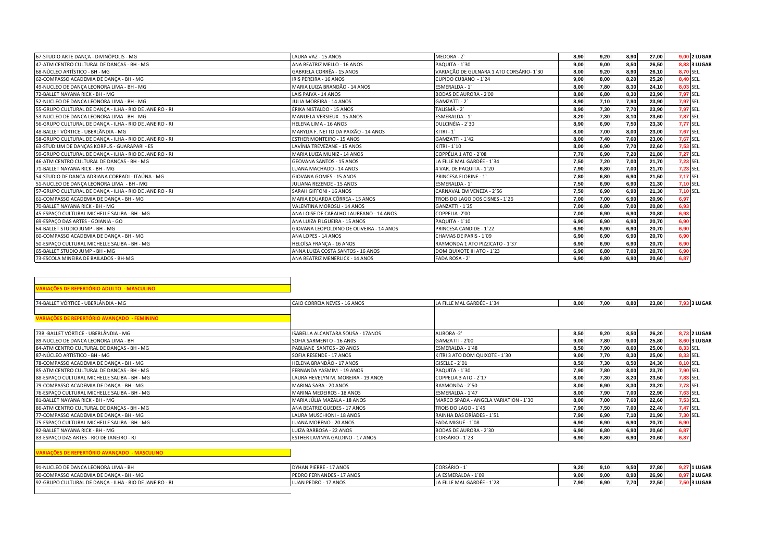| 67-STUDIO ARTE DANCA - DIVINÓPOLIS - MG                 | LAURA VAZ - 15 ANOS                      | MEDORA - 2                               | 8,90 | 9,20 | 8,90 | 27,00 |           | <b>9,00 2 LUGAR</b> |
|---------------------------------------------------------|------------------------------------------|------------------------------------------|------|------|------|-------|-----------|---------------------|
| 47-ATM CENTRO CULTURAL DE DANÇAS - BH - MG              | ANA BEATRIZ MELLO - 16 ANOS              | PAQUITA - 1`30                           | 9.00 | 9.00 | 8,50 | 26,50 |           | <b>8.83 3 LUGAR</b> |
| 68-NÚCLEO ARTÍSTICO - BH - MG                           | GABRIELA CORRÊA - 15 ANOS                | VARIAÇÃO DE GULNARA 1 ATO CORSÁRIO- 1`30 | 8,00 | 9.20 | 8,90 | 26,10 |           | 8,70 SEL.           |
| 62-COMPASSO ACADEMIA DE DANCA - BH - MG                 | IRIS PEREIRA - 16 ANOS                   | CUPIDO CUBANO - 1'24                     | 9.00 | 8.00 | 8,20 | 25,20 |           | 8,40 SEL.           |
| 49-NUCLEO DE DANÇA LEONORA LIMA - BH - MG               | MARIA LUIZA BRANDÃO - 14 ANOS            | ESMERALDA - 1                            | 8,00 | 7.80 | 8,30 | 24,10 |           | 8,03 SEL.           |
| 72-BALLET NAYANA RICK - BH - MG                         | LAIS PAIVA - 14 ANOS                     | <b>BODAS DE AURORA - 2'00</b>            | 8.80 | 6.80 | 8,30 | 23.90 |           | 7,97 SEL.           |
| 52-NUCLEO DE DANCA LEONORA LIMA - BH - MG               | JULIA MOREIRA - 14 ANOS                  | GAMZATTI - 2`                            | 8,90 | 7,10 | 7,90 | 23,90 |           | 7,97 SEL.           |
| 55-GRUPO CULTURAL DE DANCA - ILHA - RIO DE JANEIRO - RJ | ÉRIKA NISTALDO - 15 ANOS                 | TALISMÃ - 2`                             | 8,90 | 7.30 | 7,70 | 23,90 |           | 7,97 SEL.           |
| 53-NUCLEO DE DANCA LEONORA LIMA - BH - MG               | MANUELA VERSIEUX - 15 ANOS               | ESMERALDA - 1                            | 8.20 | 7,30 | 8.10 | 23,60 | 7,87 SEL. |                     |
| 56-GRUPO CULTURAL DE DANÇA - ILHA - RIO DE JANEIRO - RJ | <b>HELENA LIMA - 16 ANOS</b>             | DULCINÉIA - 2'30                         | 8.90 | 6.90 | 7,50 | 23,30 | 7,77 SEL. |                     |
| 48-BALLET VÓRTICE - UBERLÂNDIA - MG                     | MARYLIA F. NETTO DA PAIXÃO - 14 ANOS     | $KITRI - 1$                              | 8.00 | 7.00 | 8,00 | 23.00 |           | 7,67 SEL.           |
| 58-GRUPO CULTURAL DE DANCA - ILHA - RIO DE JANEIRO - RJ | <b>ESTHER MONTEIRO - 15 ANOS</b>         | GAMZATTI - 1'42                          | 8,00 | 7,40 | 7,60 | 23,00 |           | 7,67 SEL.           |
| 63-STUDIUM DE DANÇAS KORPUS - GUARAPARI - ES            | LAVÍNIA TREVEZANE - 15 ANOS              | KITRI - 1'10                             | 8,00 | 6,90 | 7,70 | 22,60 |           | 7,53 SEL.           |
| 59-GRUPO CULTURAL DE DANCA - ILHA - RIO DE JANEIRO - RJ | MARIA LUIZA MUNIZ - 14 ANOS              | COPPÉLIA 1 ATO - 2`08                    | 7,70 | 6.90 | 7.20 | 21.80 |           | 7.27 SEL.           |
| 46-ATM CENTRO CULTURAL DE DANÇAS - BH - MG              | <b>GEOVANA SANTOS - 15 ANOS</b>          | LA FILLE MAL GARDÉE - 1'34               | 7,50 | 7,20 | 7,00 | 21,70 |           | 7,23 SEL.           |
| 71-BALLET NAYANA RICK - BH - MG                         | LUANA MACHADO - 14 ANOS                  | 4 VAR. DE PAQUITA - 1`20                 | 7,90 | 6.80 | 7,00 | 21,70 |           | 7,23 SEL.           |
| 54-STUDIO DE DANÇA ADRIANA CORRADI - ITAÚNA - MG        | GIOVANA GOMES - 15 ANOS                  | PRINCESA FLORINE - 1                     | 7,80 | 6.80 | 6,90 | 21,50 | 7,17 SEL. |                     |
| 51-NUCLEO DE DANCA LEONORA LIMA - BH - MG               | JULIANA REZENDE - 15 ANOS                | ESMERALDA - 1                            | 7,50 | 6,90 | 6,90 | 21,30 |           | 7,10 SEL.           |
| 57-GRUPO CULTURAL DE DANÇA - ILHA - RIO DE JANEIRO - RJ | SARAH GIFFONI - 16 ANOS                  | CARNAVAL EM VENEZA - 2`56                | 7,50 | 6,90 | 6,90 | 21,30 |           | 7,10 SEL.           |
| 61-COMPASSO ACADEMIA DE DANCA - BH - MG                 | MARIA EDUARDA CÔRREA - 15 ANOS           | TROIS DO LAGO DOS CISNES - 1'26          | 7.00 | 7.00 | 6.90 | 20.90 | 6.97      |                     |
| 70-BALLET NAYANA RICK - BH - MG                         | VALENTINA MOROSLI - 14 ANOS              | GANZATTI - 1`25                          | 7,00 | 6,80 | 7,00 | 20,80 | 6.93      |                     |
| 45-ESPACO CULTURAL MICHELLE SALIBA - BH - MG            | ANA LOISE DE CARALHO LAUREANO - 14 ANOS  | COPPELIA -2'00                           | 7.00 | 6.90 | 6,90 | 20,80 | 6.93      |                     |
| 69-ESPACO DAS ARTES - GOIANIA - GO                      | ANA LUIZA FILGUEIRA - 15 ANOS            | PAQUITA - 1'10                           | 6,90 | 6,90 | 6,90 | 20,70 | 6.90      |                     |
| 64-BALLET STUDIO JUMP - BH - MG                         | GIOVANA LEOPOLDINO DE OLIVEIRA - 14 ANOS | PRINCESA CANDIDE - 1`22                  | 6.90 | 6.90 | 6,90 | 20,70 | 6.90      |                     |
| 60-COMPASSO ACADEMIA DE DANÇA - BH - MG                 | ANA LOPES - 14 ANOS                      | CHAMAS DE PARIS - 1'09                   | 6,90 | 6,90 | 6,90 | 20,70 | 6.90      |                     |
| 50-ESPACO CULTURAL MICHELLE SALIBA - BH - MG            | HELOÍSA FRANÇA - 16 ANOS                 | RAYMONDA 1 ATO PIZZICATO - 1'37          | 6,90 | 6,90 | 6,90 | 20,70 | 6.90      |                     |
| 65-BALLET STUDIO JUMP - BH - MG                         | ANNA LUIZA COSTA SANTOS - 16 ANOS        | DOM QUIXOTE III ATO - 1'23               | 6,90 | 6,80 | 7,00 | 20,70 |           |                     |
| 73-ESCOLA MINEIRA DE BAILADOS - BH-MG                   | ANA BEATRIZ MENERLICK - 14 ANOS          | FADA ROSA - 2'                           | 6.90 | 6.80 | 6,90 | 20.60 | 6.87      |                     |

# **VARIAÇÕES DE REPERTÓRIO ADULTO - MASCULINO**

| 74-BALLET VÓRTICE - UBERLÂNDIA - MG          | CAIO CORREIA NEVES - 16 ANOS       | LA FILLE MAL GARDÉE - 1'34            | 8,00 | 7,00 | 8,80 | 23,80 | <b>7,93 3 LUGAR</b> |
|----------------------------------------------|------------------------------------|---------------------------------------|------|------|------|-------|---------------------|
| VARIAÇÕES DE REPERTÓRIO AVANÇADO - FEMININO  |                                    |                                       |      |      |      |       |                     |
| 73B - BALLET VÓRTICE - UBERLÂNDIA - MG       | ISABELLA ALCANTARA SOUSA - 17ANOS  | AURORA-2'                             | 8,50 | 9,20 | 8,50 | 26,20 | <b>8,73 2 LUGAR</b> |
| 89-NUCLEO DE DANCA LEONORA LIMA - BH         | SOFIA SARMENTO - 16 ANOS           | GAMZATTI - 2'00                       | 9,00 | 7,80 | 9,00 | 25,80 | <b>8,60 3 LUGAR</b> |
| 84-ATM CENTRO CULTURAL DE DANÇAS - BH - MG   | PABLIANE SANTOS - 20 ANOS          | ESMERALDA - 1'48                      | 8,50 | 7.90 | 8,60 | 25,00 | 8,33 SEL.           |
| 87-NÚCLEO ARTÍSTICO - BH - MG                | SOFIA RESENDE - 17 ANOS            | KITRI 3 ATO DOM QUIXOTE - 1'30        | 9,00 | 7,70 | 8,30 | 25,00 | 8,33 SEL.           |
| 78-COMPASSO ACADEMIA DE DANÇA - BH - MG      | HELENA BRANDÃO - 17 ANOS           | GISELLE - 2`01                        | 8,50 | 7,30 | 8,50 | 24,30 | 8,10 SEL.           |
| 85-ATM CENTRO CULTURAL DE DANÇAS - BH - MG   | FERNANDA YASMIM - 19 ANOS          | PAQUITA - 1'30                        | 7,90 | 7,80 | 8,00 | 23,70 | 7,90 SEL.           |
| 88-ESPAÇO CULTURAL MICHELLE SALIBA - BH - MG | LAURA HEVELYN M. MOREIRA - 19 ANOS | COPPELIA 3 ATO - 2`17                 | 8,00 | 7,30 | 8,20 | 23,50 | 7,83 SEL.           |
| 79-COMPASSO ACADEMIA DE DANÇA - BH - MG      | MARINA SABA - 20 ANOS              | RAYMONDA - 2`50                       | 8,00 | 6,90 | 8,30 | 23,20 | 7,73 SEL.           |
| 76-ESPAÇO CULTURAL MICHELLE SALIBA - BH - MG | MARINA MEDEIROS - 18 ANOS          | ESMERALDA - 1'47                      | 8,00 | 7,90 | 7,00 | 22,90 | 7,63 SEL.           |
| 81-BALLET NAYANA RICK - BH - MG              | MARIA JÚLIA MAZALA - 18 ANOS       | MARCO SPADA - ANGELA VARIATION - 1'30 | 8,00 | 7,00 | 7,60 | 22,60 | 7,53 SEL.           |
| 86-ATM CENTRO CULTURAL DE DANÇAS - BH - MG   | ANA BEATRIZ GUEDES - 17 ANOS       | TROIS DO LAGO - 1`45                  | 7,90 | 7,50 | 7,00 | 22,40 | 7,47 SEL.           |
| 77-COMPASSO ACADEMIA DE DANÇA - BH - MG      | LAURA MUSCHIONI - 18 ANOS          | RAINHA DAS DRÍADES - 1'51             | 7,90 | 6,90 | 7,10 | 21,90 | 7,30 SEL.           |
| 75-ESPACO CULTURAL MICHELLE SALIBA - BH - MG | LUANA MORENO - 20 ANOS             | FADA MIGUÉ - 1`08                     | 6,90 | 6.90 | 6,90 | 20,70 | 6.90                |
| 82-BALLET NAYANA RICK - BH - MG              | LUIZA BARBOSA - 22 ANOS            | BODAS DE AURORA - 2`30                | 6,90 | 6.80 | 6,90 | 20,60 | 6.87                |
| 83-ESPACO DAS ARTES - RIO DE JANEIRO - RJ    | ESTHER LAVINYA GALDINO - 17 ANOS   | CORSÁRIO - 1`23                       | 6,90 | 6,80 | 6,90 | 20,60 | 6,87                |

## **VARIAÇÕES DE REPERTÓRIO AVANÇADO - MASCULINO**

| 91-NUCLEO DE DANCA LEONORA LIMA - BH                           | - 17 ANOS<br><b>DYHAN PIERRE</b>  | ∟ORSÁRIO - <sup>→</sup> `                                     | 9.20 | 9.10 | 9,50 | 27.80 | $J.27$ 1 LUGAP |
|----------------------------------------------------------------|-----------------------------------|---------------------------------------------------------------|------|------|------|-------|----------------|
| 90-COMPASSO ACADEMIA DE DANCA - BH - MG                        | <b>IPEDRO FERNANDES - 17 ANOS</b> | LA ESMERALDA - 1`09                                           | 9.00 | 9,00 | 8,90 | 26,90 | 37 2 LUGAP     |
| A - ILHA - RIO DE JANEIRO - R.<br>92-GRUPO CULTURAL DE DANCA - | LUAN PEDRO - 17 ANOS              | $A \cap D$<br>--- iviAL GARDFF - ^`<br>LA FILLE<br>$\perp$ 40 | 7.90 | 6.90 | 7.70 | 22.50 | 03 LUGAR       |
|                                                                |                                   |                                                               |      |      |      |       |                |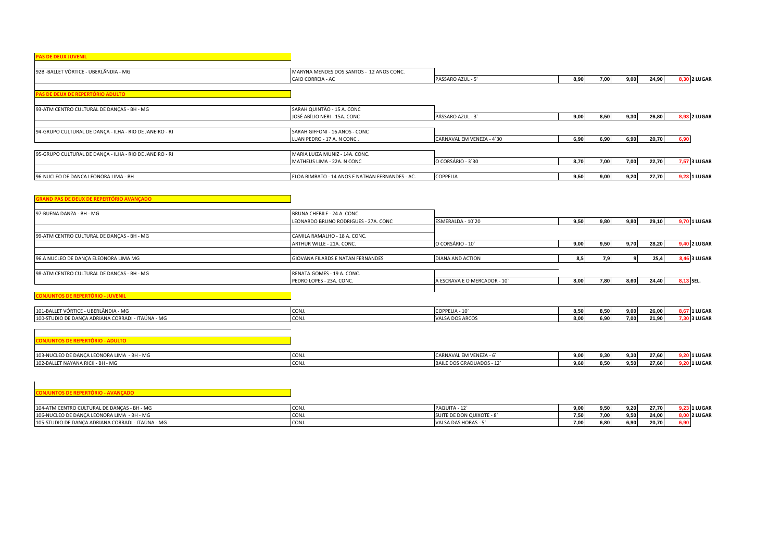# **PAS DE DEUX JUVENIL** 92B -BALLET VÓRTICE - UBERLÂNDIA - MG<br>CAIO CORREIA - AC CAIO CORREIA - AC PASSARO AZUL - 5' **8,90 7,00 9,00 24,90 8,30 2 LUGAR PAS DE DEUX DE REPERTÓRIO ADULTO**  93-ATM CENTRO CULTURAL DE DANÇAS - BH - MG SARAH QUINTÃO - 15 A. CONC JOSÉ ABÍLIO NERI - 15A. CONC PÁSSARO AZUL - 3` **9,00 8,50 9,30 26,80 8,93 2 LUGAR** 94-GRUPO CULTURAL DE DANÇA - ILHA - RIO DE JANEIRO - RJ SARAH GIFFONI - 16 ANOS - CONC<br>LUAN PEDRO - 17 A. N CONC LUAN PEDRO - 17 A. N CONC . CARNAVAL EM VENEZA - 4`30 **6,90 6,90 6,90 20,70 6,90** 95-GRUPO CULTURAL DE DANÇA - ILHA - RIO DE JANEIRO - RJ MARIA LUIZA MUNIZ - 14A. CONC. MATHEUS LIMA - 22A. N CONC O CORSÁRIO - 3`30 **8,70 7,00 7,00 22,70 7,57 3 LUGAR** 96-NUCLEO DE DANCA LEONORA LIMA - BH ELOA BIMBATO - 14 ANOS E NATHAN FERNANDES - AC. COPPELIA **9,50 9,00 9,20 27,70 9,23 1 LUGAR**

| <b>GRAND PAS DE DEUX DE REPERTÓRIO AVANÇADO</b> |                                      |                             |      |      |      |       |                     |
|-------------------------------------------------|--------------------------------------|-----------------------------|------|------|------|-------|---------------------|
| 97-BUENA DANZA - BH - MG                        | BRUNA CHEBILE - 24 A. CONC.          | ESMERALDA - 10`20           |      |      |      |       | 9,70 1 LUGAR        |
|                                                 | LEONARDO BRUNO RODRIGUES - 27A. CONC |                             | 9,50 | 9,80 | 9,80 | 29,10 |                     |
| 99-ATM CENTRO CULTURAL DE DANCAS - BH - MG      | CAMILA RAMALHO - 18 A. CONC.         |                             |      |      |      |       |                     |
|                                                 | ARTHUR WILLE - 21A, CONC.            | O CORSÁRIO - 10             | 9,00 | 9,50 | 9,70 | 28,20 | <b>9,40 2 LUGAR</b> |
| 96.A NUCLEO DE DANÇA ELEONORA LIMA MG           | GIOVANA FILARDS E NATAN FERNANDES    | DIANA AND ACTION            | 8,5  | 7.9  |      | 25,4  | 63 LUGAR<br>8.46    |
|                                                 |                                      |                             |      |      |      |       |                     |
| 98-ATM CENTRO CULTURAL DE DANCAS - BH - MG      | RENATA GOMES - 19 A. CONC.           |                             |      |      |      |       |                     |
|                                                 | PEDRO LOPES - 23A. CONC.             | A ESCRAVA E O MERCADOR - 10 | 8,00 | 7,80 | 8,60 | 24.40 | 8,13 SEL.           |
|                                                 |                                      |                             |      |      |      |       |                     |

## **CONJUNTOS DE REPERTÓRIO - JUVENIL**

| <b>T VÓRTICE</b><br>ICE - UBERLÂNDIA -<br>101-BALLET \<br><b>B</b> 84<br>- IVIU | <b>LUIT</b>  | - JUPPELIA - 1          | 50<br>. טכ | --<br>8.50    | 9.00 | 26,00 | <b>67 1 LUGAR</b> |
|---------------------------------------------------------------------------------|--------------|-------------------------|------------|---------------|------|-------|-------------------|
| ∩ CORRADI<br>- ITAÚNA - MG<br><b>ADRIANA</b><br>100-STUDIC<br><b>DE DANC</b>    | <b>UUINJ</b> | .<br>VALS<br>NUOS ARCOS | 8.00       | - - -<br>v.ov | 7.00 | 21.90 | <b>J 3 LUGAF</b>  |

#### **CONJUNTOS DE REPERTÓRIO - ADULTO**

 $\blacksquare$ 

| 103-NUCLI<br>--<br>$\cdot$ $-$<br>NUKA<br>DANCA LEG<br>- BH - IV. | $\sim$<br>ו שטו     | <b>FRANIE</b><br>VENEZA - ^<br>$L - M$ | 9.00 | 9.30 | 9,30 | 27.60 | <b>0 1 LUGAI</b> |
|-------------------------------------------------------------------|---------------------|----------------------------------------|------|------|------|-------|------------------|
| 102-BAL<br>.<br>AYANA.<br>· BH - N<br>$MLR =$                     | $\sim$<br><b>CU</b> | <sup>-</sup> PADUADOS - <sub>+</sub>   | 9.60 | 8.50 | 9.50 | 27.60 | 1 LUGAI          |

| 104-ATM CENTRO CULTURAL DE DANCAS - BH - MG       | <b>CON</b> | <b>PAQUITA</b>              | 9.00. | 9.50 | 9.20 | 27.70 |     | 1 LUGAR             |
|---------------------------------------------------|------------|-----------------------------|-------|------|------|-------|-----|---------------------|
| 106-NUCLEO DE DANÇA LEONORA LIMA - BH - MG        | CON.       | SUITE DE DON QUIXOTE - 8    | 7.50  | 7.00 | 9.50 | 24.00 |     | <b>8.00 2 LUGAR</b> |
| 105-STUDIO DE DANÇA ADRIANA CORRADI - ITAÚNA - MG | CON.       | <b>VALSA DAS HORAS - 5'</b> | 7.00  | 6.80 | 6.90 | 20,70 | 6.9 |                     |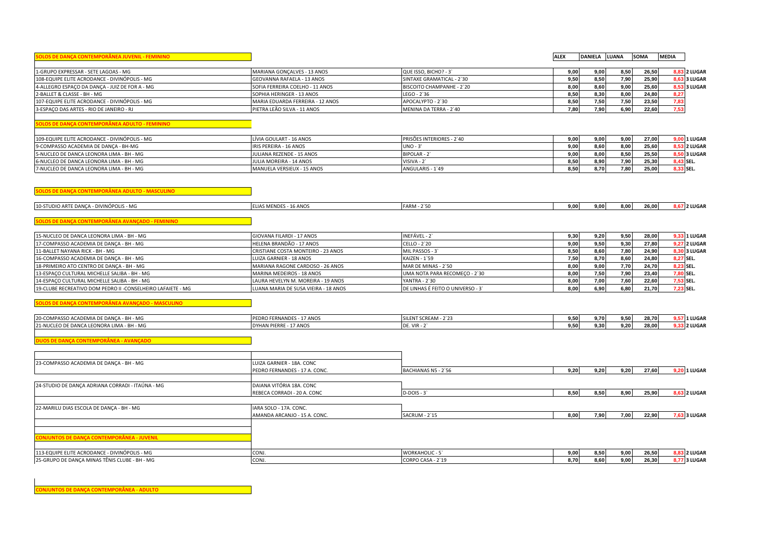| $-$<br>a juvenil.<br>'''' ' | ALE. | <b>DANIELA</b> | <b>LUANA</b> | <b>SOMA</b> | <b>MEDIA</b> |
|-----------------------------|------|----------------|--------------|-------------|--------------|

| 1-GRUPO EXPRESSAR - SETE LAGOAS - MG           | MARIANA GONCALVES - 13 ANOS      | QUE ISSO, BICHO? - 3      | 9.00 | 9.00 | 8.50   | 26,50 | <b>8.83 2 LUGAR</b> |
|------------------------------------------------|----------------------------------|---------------------------|------|------|--------|-------|---------------------|
| 108-EQUIPE ELITE ACRODANCE - DIVINÓPOLIS - MG  | GEOVANNA RAFAELA - 13 ANOS       | SINTAXE GRAMATICAL - 2`30 | 9.50 | 8.50 | 7.90 l | 25.90 | <b>8.63 3 LUGAR</b> |
| 4-ALLEGRO ESPAÇO DA DANÇA - JUIZ DE FOR A - MG | SOFIA FERREIRA COELHO - 11 ANOS  | BISCOITO CHAMPANHE - 2`20 | 8.00 | 8.60 | 9.00   | 25.60 | <b>8.53 3 LUGAR</b> |
| 2-BALLET & CLASSE - BH - MG                    | SOPHIA HERINGER - 13 ANOS        | LEGO - 2`36               | 8.50 | 8.30 | 8.00   | 24,80 | 8.27                |
| 107-EQUIPE ELITE ACRODANCE - DIVINÓPOLIS - MG  | MARIA EDUARDA FERREIRA - 12 ANOS | APOCALYPTO - 2`30         | 8.50 | 7.50 | 7.50   | 23,50 |                     |
| 3-ESPACO DAS ARTES - RIO DE JANEIRO - RJ       | PIETRA LEÃO SILVA - 11 ANOS      | MENINA DA TERRA - 2`40    | 7.80 | 7.90 | 6,90   | 22,60 | 752.                |
|                                                |                                  |                           |      |      |        |       |                     |

**SOLOS DE DANÇA CONTEMPORÂNEA ADULTO - FEMININO**

| 109-EQUIPE ELITE ACRODANCE - DIVINÓPOLIS - MG | LÍVIA GOULART - 16 ANOS    | <b>PRISÕES INTERIORES - 2`40</b> | 9.00 | 9.00 | 9.00 l | 27.00 | <b>9.00 1 LUGAR</b> |
|-----------------------------------------------|----------------------------|----------------------------------|------|------|--------|-------|---------------------|
| 9-COMPASSO ACADEMIA DE DANCA - BH-MG          | IRIS PEREIRA - 16 ANOS     | $UNO - 3$                        | 9.00 | 8.60 | 8.00   | 25.60 | 8.53 2 LUGAR        |
| 5-NUCLEO DE DANCA LEONORA LIMA - BH - MG      | JULIANA REZENDE - 15 ANOS  | <b>BIPOLAR-2</b>                 | 9,00 | 8.00 | 8,50   | 25,50 | <b>8.50 3 LUGAR</b> |
| 6-NUCLEO DE DANCA LEONORA LIMA - BH - MG      | JULIA MOREIRA - 14 ANOS    | VISIVA -                         | 8,50 | 8.90 | 7.90   | 25,30 | <b>9.43 SEL.</b>    |
| 7-NUCLEO DE DANCA LEONORA LIMA - BH - MG      | MANUELA VERSIEUX - 15 ANOS | ANGULARIS - 1'49                 | 8.50 | 8.70 | 7.80   | 25,00 | 9.33 SEL.           |

**SOLOS DE DANÇA CONTEMPORÂNEA ADULTO - MASCULINO**

| 10-STUDIO ARTE DANCA - DIVINÓPOLIS - MG                      | ELIAS MENDES - 16 ANOS               | <b>FARM - 2`50</b>                | 9,00 | 9,00 | 8,00 | 26,00 |           | <b>8.67 2 LUGAR</b> |
|--------------------------------------------------------------|--------------------------------------|-----------------------------------|------|------|------|-------|-----------|---------------------|
| SOLOS DE DANÇA CONTEMPORÂNEA AVANÇADO - FEMININO             |                                      |                                   |      |      |      |       |           |                     |
| 15-NUCLEO DE DANCA LEONORA LIMA - BH - MG                    | GIOVANA FILARDI - 17 ANOS            | INEFÁVEL - 2                      | 9,30 | 9,20 | 9,50 | 28,00 |           | 9,33 1 LUGAR        |
| 17-COMPASSO ACADEMIA DE DANÇA - BH - MG                      | HELENA BRANDÃO - 17 ANOS             | CELLO - 2`20                      | 9,00 | 9,50 | 9,30 | 27,80 |           | <b>9.27 2 LUGAR</b> |
| 11-BALLET NAYANA RICK - BH - MG                              | CRISTIANE COSTA MONTEIRO - 23 ANOS   | MIL PASSOS - 3                    | 8,50 | 8,60 | 7.80 | 24.90 |           | <b>8.30 3 LUGAR</b> |
| 16-COMPASSO ACADEMIA DE DANÇA - BH - MG                      | LUIZA GARNIER - 18 ANOS              | KAIZEN - 1`59                     | 7.50 | 8,70 | 8,60 | 24,80 | 8,27 SEL. |                     |
| 18-PRIMEIRO ATO CENTRO DE DANÇA - BH - MG                    | MARIANA RAGONE CARDOSO - 26 ANOS     | MAR DE MINAS - 2`50               | 8.00 | 9.00 | 7,70 | 24,70 | 8,23 SEL. |                     |
| 13-ESPAÇO CULTURAL MICHELLE SALIBA - BH - MG                 | MARINA MEDEIROS - 18 ANOS            | UMA NOTA PARA RECOMECO - 2`30     | 8,00 | 7,50 | 7,90 | 23,40 | 7,80 SEL. |                     |
| 14-ESPACO CULTURAL MICHELLE SALIBA - BH - MG                 | LAURA HEVELYN M. MOREIRA - 19 ANOS   | YANTRA - 2`30                     | 8,00 | 7,00 | 7,60 | 22,60 | 7,53 SEL. |                     |
| 19-CLUBE RECREATIVO DOM PEDRO II - CONSELHEIRO LAFAIETE - MG | LUANA MARIA DE SUSA VIEIRA - 18 ANOS | DE LINHAS É FEITO O UNIVERSO - 3' | 8,00 | 6,90 | 6,80 | 21,70 | 7,23 SEL. |                     |
|                                                              |                                      |                                   |      |      |      |       |           |                     |

**SOLOS DE DANÇA CONTEMPORÂNEA AVANÇADO - MASCULINO**

| 20-COMPASSO ACADEMIA DE DANCA -<br>$\sim$<br>ີ*'⊆A - BH - M∿ | 17 ANOS<br>PED<br>O FERNANDES  | $RFAM -$<br>SILENT | 9.50<br>. | 9.70        | 9.50 | $00 - 50$<br>28.70 I | 71 LUGAF          |
|--------------------------------------------------------------|--------------------------------|--------------------|-----------|-------------|------|----------------------|-------------------|
| 21-NUCLEO DE DANCA LEONORA LIMA -<br>BH - MG                 | AN PIERRE - 17 ANOS<br>DYHAN I | DE. VIR            | 9.50<br>. | i 30<br>ישי | 9.20 | 28.00                | <b>33 2 LUGAR</b> |

**DUOS DE DANÇA CONTEMPORÂNEA - AVANÇADO**

| LUIZA GARNIER - 18A. CONC     |                          |      |      |      |       |                     |
|-------------------------------|--------------------------|------|------|------|-------|---------------------|
| PEDRO FERNANDES - 17 A. CONC. | BACHIANAS N5 - 2`56      | 9,20 | 9,20 | 9,20 | 27,60 | 9,20 1 LUGAR        |
|                               |                          |      |      |      |       |                     |
| REBECA CORRADI - 20 A. CONC   | $D-DOIS - 3$             | 8,50 | 8,50 | 8,90 | 25,90 | 8,63 2 LUGAR        |
| IARA SOLO - 17A. CONC.        |                          |      |      |      |       |                     |
| AMANDA ARCANJO - 15 A. CONC.  | SACRUM - 2`15            | 8,00 | 7,90 | 7,00 | 22,90 | 7,63 3 LUGAR        |
|                               |                          |      |      |      |       |                     |
|                               |                          |      |      |      |       |                     |
| CONJ.                         | <b>WORKAHOLIC - 5'</b>   | 9,00 | 8,50 | 9,00 | 26,50 | <b>8,83 2 LUGAR</b> |
| CONJ.                         | CORPO CASA - 2`19        | 8,70 | 8,60 | 9,00 | 26,30 | 8,77 3 LUGAR        |
|                               | DAIANA VITÓRIA 18A. CONC |      |      |      |       |                     |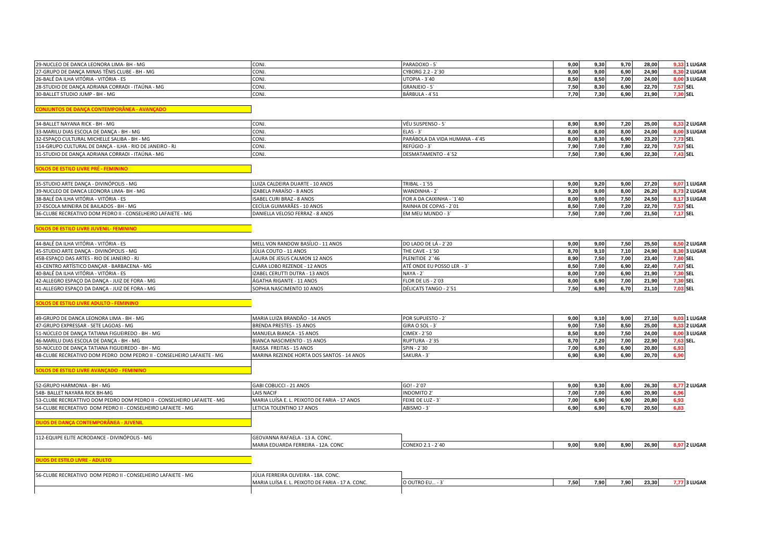| 29-NUCLEO DE DANCA LEONORA LIMA- BH - MG         | <b>CON</b> | PARADOXO - 5      | 9,00 | 9.30 | 9.70 | 28,00 |          | <b>9.33 1 LUGAR</b> |
|--------------------------------------------------|------------|-------------------|------|------|------|-------|----------|---------------------|
| 27-GRUPO DE DANCA MINAS TÊNIS CLUBE - BH - MG    | <b>CON</b> | CYBORG 2.2 - 2`30 | 9,00 | 9.00 | 6.90 | 24.90 |          | <b>8.30 2 LUGAR</b> |
| 26-BALÉ DA ILHA VITÓRIA - VITÓRIA - ES           | CON        | UTOPIA - 3'40     | 8,50 | 8.50 | 7.00 | 24.00 |          | <b>8.00 3 LUGAR</b> |
| 28-STUDIO DE DANÇA ADRIANA CORRADI - ITAÚNA - MG | <b>CON</b> | GRANJEIO - 5      | 7,50 | 8.30 | 6,90 | 22.70 |          | 7.57 SEL            |
| 30-BALLET STUDIO JUMP - BH - MG                  | <b>CON</b> | BÁRBULA - 4`51    | 7,70 | 7.30 | 6,90 | 21,90 | 7.30 SEL |                     |

**CONJUNTOS DE DANÇA CONTEMPORÂNEA - AVANÇADO**

| 34-BALLET NAYANA RICK - BH - MG                          | CON.             | VĚU SUSPENSO - 5               | 8.90 | 8.90 | 7.20 | 25.00 | <b>1.33 2 LUGAR</b> |
|----------------------------------------------------------|------------------|--------------------------------|------|------|------|-------|---------------------|
| 33-MARILU DIAS ESCOLA DE DANCA - BH - MG                 | CON <sub>3</sub> | $ELAS - ?$                     |      | 8.00 | 8.00 | 24.00 | <b>8.00 3 LUGAR</b> |
| 32-ESPACO CULTURAL MICHELLE SALIBA - BH - MG             | CON.             | PARÁBOLA DA VIDA HUMANA - 4`45 | .00  | 8.30 | 6.90 | 23,20 | '.73 SEL            |
| 114-GRUPO CULTURAL DE DANCA - ILHA - RIO DE JANEIRO - RJ | CON <sub>J</sub> | REFÚGIO - 3                    | 7.90 | 7.00 | 7.80 | 22,70 | 7.57 SEL            |
| 31-STUDIO DE DANÇA ADRIANA CORRADI - ITAÚNA - MG         | CON.             | DESMATAMENTO - 4'52            | 7.50 | 7.90 | 6.90 | 22,30 | ',43 SEL            |

**SOLOS DE ESTILO LIVRE PRÉ - FEMININO**

| 35-STUDIO ARTE DANCA - DIVINÓPOLIS - MG                      | LUIZA CALDEIRA DUARTE - 10 ANOS  | TRIBAL - 1'55             | 9.00 | 9.20              | 9.00 | 27.20 | <b>9.07 1 LUGAR</b> |
|--------------------------------------------------------------|----------------------------------|---------------------------|------|-------------------|------|-------|---------------------|
| 39-NUCLEO DE DANCA LEONORA LIMA- BH - MG                     | IZABELA PARAÍSO - 8 ANOS         | WANDINHA-2                | 9.20 | 9.00 <sub>1</sub> | 8.00 | 26.20 | 8.73 2 LUGAR        |
| 38-BALÉ DA ILHA VITÓRIA - VITÓRIA - ES                       | <b>ISABEL CURI BRAZ - 8 ANOS</b> | FOR A DA CAIXINHA - `1`40 | 8.00 | 9.00              | 7.50 | 24.50 | <b>8.17 3 LUGAR</b> |
| 37-ESCOLA MINEIRA DE BAILADOS - BH - MG                      | ICECÍLIA GUIMARÃES - 10 ANOS     | RAINHA DE COPAS - 2`01    | 8.50 | 7.00              | 7.20 | 22.70 | 7.57 SEL            |
| 36-CLUBE RECREATIVO DOM PEDRO II - CONSELHEIRO LAFAIETE - MG | DANIELLA VELOSO FERRAZ - 8 ANOS  | <b>EM MEU MUNDO - 3'</b>  | 7 5N | 7,00              | 7,00 | 21,50 | $-17$ SEL           |

## **SOLOS DE ESTILO LIVRE JUVENIL- FEMININO**

| 44-BALÉ DA ILHA VITÓRIA - VITÓRIA - ES         | MELL VON RANDOW BASILIO - 11 ANOS | DO LADO DE LÁ - 2`20      | 9.00              | 9.00 | 7.50  | 25.50 | <b>8.50 2 LUGAR</b> |
|------------------------------------------------|-----------------------------------|---------------------------|-------------------|------|-------|-------|---------------------|
| 45-STUDIO ARTE DANCA - DIVINÓPOLIS - MG        | JÚLIA COUTO - 11 ANOS             | THE CAVE - 1`50           | 8.70              | 9.10 | 7.10  | 24.90 | <b>8.30 3 LUGAR</b> |
| 45B-ESPACO DAS ARTES - RIO DE JANEIRO - RJ     | LAURA DE JESUS CALMON 12 ANOS     | PLENITIDE 2''46           | 8.90              | 7.50 | 7.00  | 23.40 | 7.80 SEL            |
| 43-CENTRO ARTÍSTICO DANCAR - BARBACENA - MG    | CLARA LOBO REZENDE - 12 ANOS      | ATÉ ONDE EU POSSO LER - 3 | 8.50              | 7.00 | 6.90  | 22.40 | 7.47 SEL            |
| 40-BALÉ DA ILHA VITÓRIA - VITÓRIA - ES         | IZABEL CERUTTI DUTRA - 13 ANOS    | NAYA - 2                  | 8.00              | 7.00 | 6.90  | 21.90 | 7.30 SEL            |
| 42-ALLEGRO ESPAÇO DA DANÇA - JUIZ DE FORA - MG | ÁGATHA RIGANTE - 11 ANOS          | FLOR DE LIS - 2`03        | 8.00              | 6.90 | 7.00. | 21.90 | 7.30 SEL            |
| 41-ALLEGRO ESPAÇO DA DANÇA - JUIZ DE FORA - MG | SOPHIA NASCIMENTO 10 ANOS         | DÉLICATS TANGO - 2`51     | 7.50 <sub>1</sub> | 6.90 | 6.70  | 21.10 | 7.03 SEL            |

**SOLOS DE ESTILO LIVRE ADULTO - FEMININO**

| 49-GRUPO DE DANCA LEONORA LIMA - BH - MG                                      | MARIA LUIZA BRANDÃO - 14 ANOS             | <b>POR SUPUESTO - 2</b> | 9.00.             | 9.10 | 9.00 | 27.10 |           | <b>9.03 1 LUGAR</b> |
|-------------------------------------------------------------------------------|-------------------------------------------|-------------------------|-------------------|------|------|-------|-----------|---------------------|
| 47-GRUPO EXPRESSAR - SETE LAGOAS - MG                                         | BRENDA PRESTES - 15 ANOS                  | GIRA O SOL - 3          | 9.00.             | 7.50 | 8.50 | 25.00 |           | <b>8.33 2 LUGAR</b> |
| 51-NÚCLEO DE DANCA TATIANA FIGUEIREDO - BH - MG                               | MANUELA BIANCA - 15 ANOS                  | CIMEX - 2`50            | 8.50              | 8.00 | 7.50 | 24.00 |           | <b>8.00 3 LUGAR</b> |
| 46-MARILU DIAS ESCOLA DE DANCA - BH - MG                                      | BIANCA NASCIMENTO - 15 ANOS               | RUPTURA - 2`35          | 8.70 <sub>1</sub> | 7.20 | 7.00 | 22.90 | 7.63 SEL. |                     |
| 50-NÚCLEO DE DANCA TATIANA FIGUEIREDO - BH - MG                               | RAISSA FREITAS - 15 ANOS                  | SPIN - 2`30             | 7.00              | 6.90 | 6.90 | 20,80 | 6.93      |                     |
| <b>48-CLUBE RECREATIVO DOM PEDRO DOM PEDRO II - CONSELHEIRO LAFAIETE - MG</b> | MARINA REZENDE HORTA DOS SANTOS - 14 ANOS | SAKURA - 3              | 6.90              | 6.90 | 6.90 | 20,70 | 6,90      |                     |

**SOLOS DE ESTILO LIVRE AVANÇADO - FEMININO**

| 52-GRUPO HARMONIA - BH - MG                                             | GABI COBUCCI - 21 ANOS                       | $GO! - 2'07$     | 9.00 | 9.30 | 8.00 | 26,30 | <b>8.77 2 LUGAR</b> |
|-------------------------------------------------------------------------|----------------------------------------------|------------------|------|------|------|-------|---------------------|
| 54B- BALLET NAYARA RICK BH-MG                                           | <b>LAIS NACIF</b>                            | INDOMITO 2'      | 7.00 | 7.00 | 6.90 | 20,90 | 6.96                |
| 53-CLUBE RECREATTIVO DOM PEDRO DOM PEDRO II - CONSELHEIRO LAFAIETE - MG | MARIA LUÍSA E. L. PEIXOTO DE FARIA - 17 ANOS | FEIXE DE LUZ - 3 | 7.00 | 6,90 | 6,90 | 20,80 | 6,93                |
| 54-CLUBE RECREATIVO DOM PEDRO II - CONSELHEIRO LAFAIETE - MG            | LETICIA TOLENTINO 17 ANOS                    | ABISMO - 3       | 6.90 | 6,90 | 6.70 | 20,50 | 6,83                |
|                                                                         |                                              |                  |      |      |      |       |                     |
| ASICA COSITESSOOD SUES                                                  |                                              |                  |      |      |      |       |                     |
|                                                                         |                                              |                  |      |      |      |       |                     |

| : ELITE ACRODANCE - DIVINÓPOLIS - MG<br>$112-Ft$ | - 13 A. CONC.<br><b>GEOVANNA RAFAELA -</b>      |                           |                       |      |      |       |                 |
|--------------------------------------------------|-------------------------------------------------|---------------------------|-----------------------|------|------|-------|-----------------|
|                                                  | JA FERREIRA - 17<br>YIAKIA EDUAN<br>. IZA. CUNC | EXO 2.1<br>2'40<br>$\sim$ | $\sim$ $\sim$<br>9.OU | 9.00 | 8.90 | 26.90 | <b>72 LUGAR</b> |
|                                                  |                                                 |                           |                       |      |      |       |                 |

**DUOS DE ESTILO LIVRE - ADULTO**

| ) DOM PEDRO II - CONSELHEIRO LAFAIETE - MG<br>-CLUBI<br><b>E RECREATIVO</b> | 'ÚLIA FERREIRA OLIVEIRA - 18A. CONC.             |              |      |      |      |       |                 |
|-----------------------------------------------------------------------------|--------------------------------------------------|--------------|------|------|------|-------|-----------------|
|                                                                             | MARIA LUÍSA E. L. PEIXOTO DE FARIA - 17 A. CONC. | O OUTRO EU - | . JI | 7.90 | 7,90 | 23,30 | <b>73 LUGAR</b> |
|                                                                             |                                                  |              |      |      |      |       |                 |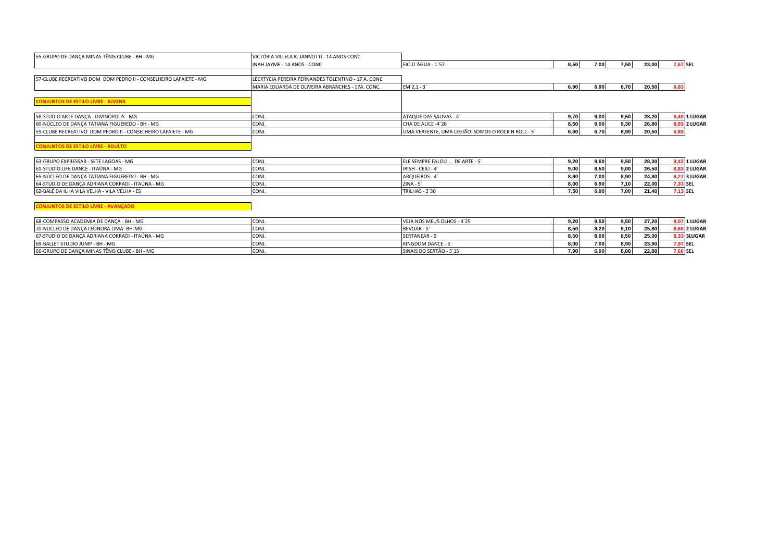| 55-GRUPO DE DANÇA MINAS TÊNIS CLUBE - BH - MG                    | VICTÓRIA VILLELA K. JANNOTTI - 14 ANOS CONC        |                                                    |      |      |      |       |                     |
|------------------------------------------------------------------|----------------------------------------------------|----------------------------------------------------|------|------|------|-------|---------------------|
|                                                                  | INAH JAYME - 14 ANOS - CONC                        | <b>FIO D'ÁGUA - 1'57</b>                           | 8,50 | 7,00 | 7,50 | 23,00 | 7,67 SEL            |
|                                                                  |                                                    |                                                    |      |      |      |       |                     |
| 57-CLUBE RECREATIVO DOM DOM PEDRO II - CONSELHEIRO LAFAIETE - MG | LECKTYCIA PEREIRA FERNANDES TOLENTINO - 17 A. CONC |                                                    |      |      |      |       |                     |
|                                                                  | MARIA EDUARDA DE OLIVEIRA ABRANCHES - 17A, CONC.   | $EM 2, 1 - 3'$                                     | 6,90 | 6,90 | 6,70 | 20,50 | 6.83                |
| <b>CONJUNTOS DE ESTILO LIVRE - JUVENIL</b>                       |                                                    |                                                    |      |      |      |       |                     |
| 58-STUDIO ARTE DANCA - DIVINÓPOLIS - MG                          | CONJ.                                              | ATAQUE DAS SAUVAS - 4                              | 9,70 | 9,00 | 9,50 | 28,20 | <b>9,40 1 LUGAR</b> |
| 60-NÚCLEO DE DANÇA TATIANA FIGUEREDO - BH - MG                   | CONJ.                                              | CHA DE ALICE -4`26                                 | 8,50 | 9,00 | 9,30 | 26,80 | <b>8,93 2 LUGAR</b> |
| 59-CLUBE RECREATIVO DOM PEDRO II - CONSELHEIRO LAFAIETE - MG     | CONJ.                                              | UMA VERTENTE, UMA LEGIÃO. SOMOS O ROCK N ROLL - 5` | 6,90 | 6,70 | 6,90 | 20,50 | 6.83                |
| <b>CONJUNTOS DE ESTILO LIVRE - ADULTO</b>                        |                                                    |                                                    |      |      |      |       |                     |
| 63-GRUPO EXPRESSAR - SETE LAGOAS - MG                            | CONJ.                                              | ELE SEMPRE FALOU  DE ARTE - 5                      | 9,20 | 9,60 | 9,50 | 28,30 | 9,43 1 LUGAR        |
| 61-STUDIO LIFE DANCE - ITAÚNA - MG                               | CONJ.                                              | IRISH - CEILI - 4                                  | 9,00 | 8,50 | 9,00 | 26,50 | <b>8,83 2 LUGAR</b> |
| 65-NÚCLEO DE DANÇA TATIANA FIGUEREDO - BH - MG                   | CONJ.                                              | ARQUEIROS - 4                                      | 8,90 | 7,00 | 8,90 | 24,80 | 8,27 3 LUGAR        |
| 64-STUDIO DE DANÇA ADRIANA CORRADI - ITAÚNA - MG                 | CONJ.                                              | $ZINA - 5$                                         | 8,00 | 6,90 | 7,10 | 22,00 | 7,33 SEL            |
| 62-BALÉ DA ILHA VILA VELHA - VILA VELHA - ES                     | CONJ.                                              | TRILHAS - 2`30                                     | 7,50 | 6,90 | 7,00 | 21,40 | 7,13 SEL            |
| <b>CONJUNTOS DE ESTILO LIVRE - AVANÇADO</b>                      |                                                    |                                                    |      |      |      |       |                     |
| 68-COMPASSO ACADEMIA DE DANÇA - BH - MG                          | CONJ.                                              | VEJA NOS MEUS OLHOS - 4'25                         | 9,20 | 8,50 | 9,50 | 27,20 | <b>9,07 1 LUGAR</b> |
| 70-NUCLEO DE DANÇA LEONORA LIMA- BH-MG                           | CONJ.                                              | REVOAR - 5'                                        | 8,50 | 8,20 | 9,10 | 25,80 | <b>8,60 2 LUGAR</b> |
| 67-STUDIO DE DANÇA ADRIANA CORRADI - ITAÚNA - MG                 | CONJ.                                              | SERTANEAR - 5                                      | 8,50 | 8,00 | 8,50 | 25,00 | <b>8,33 3LUGAR</b>  |

69-BALLET STUDIO JUMP - BH - MG CONJ. KINGDOM DANCE - 5` **8,00 7,00 8,90 23,90 7,97 SEL**

66-GRUPO DE DANÇA MINAS TÊNIS CLUBE - BH - MG CONJ. SINAIS DO SERTÃO - 5`15 **7,90 6,90 8,00 22,80 7,60 SEL**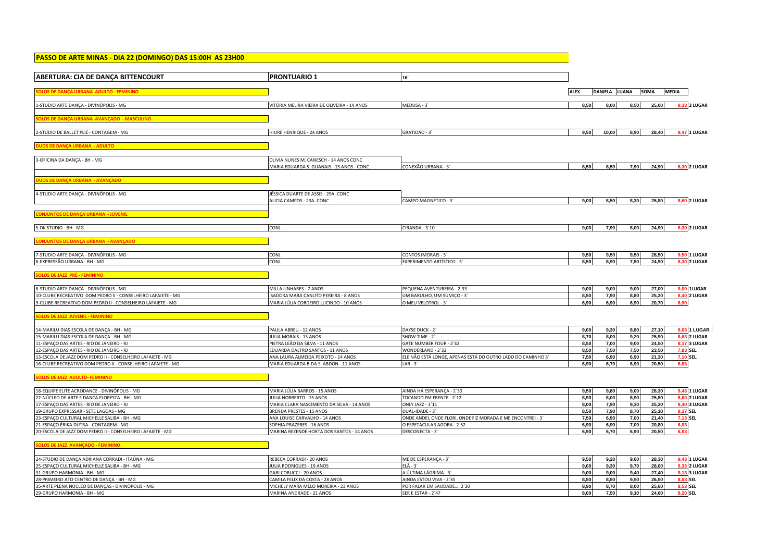| PASSO DE ARTE MINAS - DIA 22 (DOMINGO) DAS 15:00H AS 23H00   |                                             |                                                            |               |                                      |
|--------------------------------------------------------------|---------------------------------------------|------------------------------------------------------------|---------------|--------------------------------------|
| ABERTURA: CIA DE DANÇA BITTENCOURT                           | <b>PRONTUARIO 1</b>                         | 16'                                                        |               |                                      |
| OLOS DE DANÇA URBANA ADULTO - FEMININO                       |                                             |                                                            | <b>ALEX</b>   | DANIELA LUANA SOMA<br><b>MEDIA</b>   |
| 1-STUDIO ARTE DANÇA - DIVINÓPOLIS - MG                       | VITÓRIA MELIRA VIEIRA DE OLIVEIRA - 14 ANOS | MEDUSA - 3                                                 | 8,50<br>8,00  | 25,00<br>8,50<br>8,33 2 LUGAR        |
|                                                              |                                             |                                                            |               |                                      |
| <b>DLOS DE DANCA URBANA AVANCADO - MASCULINO</b>             |                                             |                                                            |               |                                      |
| 2-STUDIO DE BALLET PLIÉ - CONTAGEM - MG                      | HIURE HENRIQUE - 24 ANOS                    | GRATIDÃO - 3                                               | 9,50<br>10,00 | 8,90<br>28,40<br>9,47 1 LUGAR        |
| OS DE DANÇA LIRRANA - ADULTO                                 |                                             |                                                            |               |                                      |
| 3-OFICINA DA DANÇA - BH - MG                                 | OLIVIA NUNES M. CANESCH - 14 ANOS CONC      |                                                            |               |                                      |
|                                                              | MARIA EDUARDA S. GUANAIS - 15 ANOS - CONC   | CONEXÃO URBANA - 3                                         | 8,50<br>8,50  | 7,90<br>24,90<br>8,30 2 LUGAR        |
| <b>UOS DE DANÇA URBANA - AVANÇADO</b>                        |                                             |                                                            |               |                                      |
| 4-STUDIO ARTE DANÇA - DIVINÓPOLIS - MG                       | JÉSSICA DUARTE DE ASSIS - 29A. CONC         |                                                            |               |                                      |
|                                                              | ALICIA CAMPOS - 23A. CONC                   | CAMPO MAGNÉTICO - 3                                        | 9,00<br>8,50  | 8,30<br>25,80<br><b>8,60 2 LUGAR</b> |
| <b>CONJUNTOS DE DANÇA URBANA - JUVENIL</b>                   |                                             |                                                            |               |                                      |
|                                                              |                                             |                                                            |               | 8,30 2 LUGAR                         |
| 5-DK STUDIO - BH - MG                                        | CONJ.                                       | CIRANDA - 3'10                                             | 9,00<br>7,90  | 8,00<br>24,90                        |
| <b>ONJUNTOS DE DANÇA URBANA - AVANÇADO</b>                   |                                             |                                                            |               |                                      |
| 7-STUDIO ARTE DANCA - DIVINÓPOLIS - MG                       | CONJ.                                       | <b>CONTOS IMORAIS - 5'</b>                                 | 9,50<br>9,50  | 9,50<br>28,50<br>9,50 1 LUGAR        |
| 6-EXPRESSÃO URBANA - BH - MG                                 | CONJ.                                       | EXPERIMENTO ARTÍSTICO - 5'                                 | 8,50<br>8,90  | 7,50<br>24,90<br>8,30 2 LUGAR        |
| SOLOS DE JAZZ PRÉ - FEMININO                                 |                                             |                                                            |               |                                      |
| 8-STUDIO ARTE DANÇA - DIVINÓPOLIS - MG                       | MILLA LINHARES - 7 ANOS                     | PEQUENA AVENTUREIRA - 2'33                                 | 9,00<br>9,00  | 9,00<br>27,00<br><b>9,00 1LUGAR</b>  |
| 10-CLUBE RECREATIVO DOM PEDRO II - CONSELHEIRO LAFAIETE - MG | ISADORA MARA CANUTO PEREIRA - 8 ANOS        | UM BARULHO, UM SUMIÇO - 3`                                 | 8,50<br>7,90  | 8,80<br>25,20<br>8,40 2 LUGAR        |
| 9-CLUBE RECREATIVO DOM PEDRO II - CONSELHEIRO LAFAIETE - MG  | MARIA JÚLIA CORDEIRO LUCINDO - 10 ANOS      | O MEU VELOTROL - 3'                                        | 6,90<br>6,90  | 6,90<br>20,70<br>6,90                |
| <b>OLOS DE JAZZ JUVENIL - FEMININO</b>                       |                                             |                                                            |               |                                      |
| 14-MARILU DIAS ESCOLA DE DANÇA - BH - MG                     | PAULA ABREU - 12 ANOS                       | DAYSE DUCK - 2`                                            | 9,00<br>9,30  | 8,80<br>27,10<br>9,03 1 LUGAR        |
| 15-MARILU DIAS ESCOLA DE DANÇA - BH - MG                     | JULIA MORAIS - 13 ANOS                      | SHOW TIME - 2                                              | 8,70<br>8,00  | 9,20<br>25,90<br>8,63 2 LUGAR        |
| 11-ESPACO DAS ARTES - RIO DE JANEIRO - RJ                    | PIETRA LEÃO DA SILVA - 11 ANOS              | GATE NUMBER FOUR - 2'42                                    | 8,50<br>7,00  | 8,17 3 LUGAR<br>9,00<br>24,50        |
| 12-ESPAÇO DAS ARTES - RIO DE JANEIRO - RJ                    | EDUARDA DALTRO SANTOS - 11 ANOS             | WONDERLAND - 2`32                                          | 8,50<br>7,50  | 7,50<br>23,50<br>7,83 SEL.           |
| 13-ESCOLA DE JAZZ DOM PEDRO II - CONSELHEIRO LAFAIETE - MG   | ANA LAURA ALMEIDA PEIXOTO - 14 ANOS         | ELE NÃO ESTÁ LONGE, APENAS ESTÁ DO OUTRO LADO DO CAMINHO 3 | 7,50<br>6,90  | 7,10 SEL.<br>6,90<br>21,30           |
| 16-CLUBE RECREATIVO DOM PEDRO II - CONSELHEIRO LAFAIETE - MG | MARIA EDUARDA B.DA S. ABDON - 11 ANOS       | $LAR - 3'$                                                 | 6,90<br>6,70  | 6,90<br>20,50<br>6,83                |
| <b>OLOS DE JAZZ ADULTO- FEMININO</b>                         |                                             |                                                            |               |                                      |
| 18-EQUIPE ELITE ACRODANCE - DIVINÓPOLIS - MG                 | MARIA JÚLIA BARROS - 15 ANOS                | AINDA HÁ ESPERANÇA - 2`30                                  | 9,50<br>9,80  | 28,30<br>9,00<br>9,43 1 LUGAR        |
| 22-NÚCLEO DE ARTE E DANÇA FLORESTA - BH - MG                 | JULIA NORBERTO - 15 ANOS                    | TOCANDO EM FRENTE - 2'12                                   | 8,90<br>8,00  | 8,90<br>25,80<br>8,60 2 LUGAR        |
| 17-ESPAÇO DAS ARTES - RIO DE JANEIRO - RJ                    | MARIA CLARA NASCIMENTO DA SILVA - 14 ANOS   | ONLY JAZZ - 3'11                                           | 8,00<br>7,90  | 25,20<br>8,40 3 LUGAR<br>9,30        |
| 19-GRUPO EXPRESSAR - SETE LAGOAS - MG                        | <b>BRENDA PRESTES - 15 ANOS</b>             | DUAL-IDADE - 3'                                            | 8,50<br>7,90  | 8,70<br>25,10<br>8,37 SEL            |
| 23-ESPAÇO CULTURAL MICHELLE SALIBA - BH - MG                 | ANA LOUISE CARVALHO - 14 ANOS               | ONDE ANDEI, ONDE FLORI, ONDE FIZ MORADA E ME ENCONTREI - 3 | 7,50<br>6,90  | 7,00<br>21,40<br>7,13 SEL            |
| 21-ESPAÇO ÉRIKA DUTRA - CONTAGEM - MG                        | SOPHIA PRAZERES - 16 ANOS                   | O ESPETACULAR AGORA - 2'52                                 | 6,90<br>6,90  | 7,00<br>20,80<br>6,93                |
| 20-ESCOLA DE JAZZ DOM PEDRO II - CONSELHEIRO LAFAIETE - MG   | MARINA REZENDE HORTA DOS SANTOS - 14 ANOS   | DESCONECTA - 3                                             | 6,90<br>6,70  | 6,90<br>20,50<br>6,83                |
| <b>OLOS DE JAZZ AVANÇADO - FEMININO</b>                      |                                             |                                                            |               |                                      |
| 24-STUDIO DE DANÇA ADRIANA CORRADI - ITAÚNA - MG             | REBECA CORRADI - 20 ANOS                    | ME DE ESPERANÇA - 3'                                       | 9,50<br>9,20  | 28,30<br>9,43 1 LUGAR<br>9,60        |
| 25-ESPAÇO CULTURAL MICHELLE SALIBA - BH - MG                 | JULIA RODRIGUES - 19 ANOS                   | $EL\tilde{A} - 3$                                          | 9,00<br>9,30  | 9,70<br>28,00<br>9,33 2 LUGAR        |
| 31-GRUPO HARMONIA - BH - MG                                  | GABI COBUCCI - 20 ANOS                      | A ÚLTIMA LÁGRIMA - 3`                                      | 9,00<br>9,00  | 9,13 3 LUGAR<br>9,40<br>27,40        |
| 28-PRIMEIRO ATO CENTRO DE DANÇA - BH - MG                    | CAMILA FELIX DA COSTA - 28 ANOS             | AINDA ESTOU VIVA - 2'35                                    | 8,50<br>8,50  | 9,50<br>26,50<br>8,83 SEL            |
| 35-ARTE PLENA NÚCLEO DE DANÇAS - DIVINÓPOLIS - MG            | MICHELY MARA MELO MOREIRA - 23 ANOS         | POR FALAR EM SAUDADE 2'30                                  | 8,90<br>8,70  | 8,00<br>25,60<br>8,53 SEL            |
| 29-GRUPO HARMONIA - BH - MG                                  | MARINA ANDRADE - 21 ANOS                    | SER E ESTAR - 2'47                                         | 8,00<br>7,50  | 9,10<br>24,60<br>8,20 SEL            |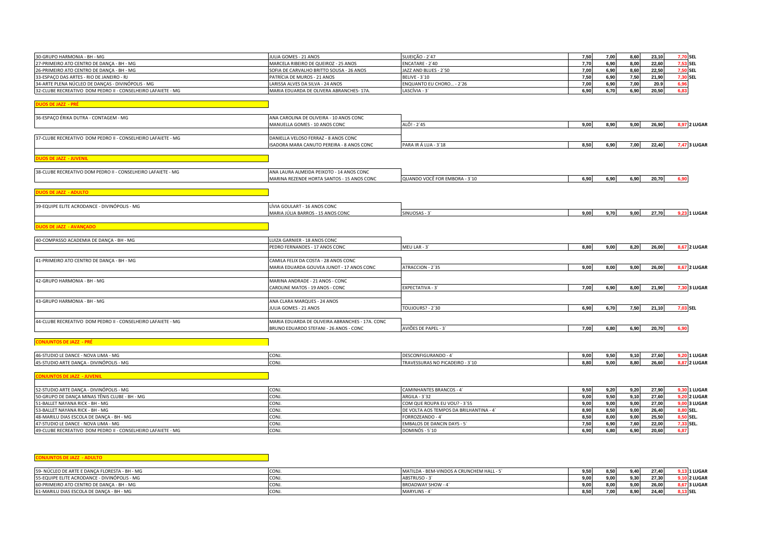| 30-GRUPO HARMONIA - BH - MG                                                    | JULIA GOMES - 21 ANOS                           | SUJEIÇÃO - 2`47                 | 7,50 | 7,00         | 8,60 | 23,10          | 7,70 SEL     |
|--------------------------------------------------------------------------------|-------------------------------------------------|---------------------------------|------|--------------|------|----------------|--------------|
| 27-PRIMEIRO ATO CENTRO DE DANÇA - BH - MG                                      | MARCELA RIBEIRO DE QUEIROZ - 25 ANOS            | ENCATARE - 2'40                 | 7,70 | 6,90         | 8,00 | 22,60          | 7,53 SEL     |
| 26-PRIMEIRO ATO CENTRO DE DANÇA - BH - MG                                      | SOFIA DE CARVALHO BRITTO SOUSA - 26 ANOS        | JAZZ AND BLUES - 2'50           | 7,00 | 6,90         | 8,60 | 22,50          | 7,50 SEL     |
| 33-ESPAÇO DAS ARTES - RIO DE JANEIRO - RJ                                      | PATRÍCIA DE MUROS - 21 ANOS                     | <b>BELIVE - 3'10</b>            | 7,50 | 6,90         | 7,50 | 21,90          | 7,30 SEL     |
| 34-ARTE PLENA NÚCLEO DE DANÇAS - DIVINÓPOLIS - MG                              | LARISSA ALVES DA SILVA - 24 ANOS                | ENQUANTO EU CHORO - 2`26        | 7,00 | 6,90         | 7,00 | 20.9           | 6.96         |
| 32-CLUBE RECREATIVO DOM PEDRO II - CONSELHEIRO LAFAIETE - MG                   | MARIA EDUARDA DE OLIVERA ABRANCHES-17A.         | LASCÍVIA - 3`                   | 6,90 | 6,70         | 6,90 | 20,50          | 6,83         |
| <b>DUOS DE JAZZ - PRÉ</b>                                                      |                                                 |                                 |      |              |      |                |              |
| 36-ESPAÇO ÉRIKA DUTRA - CONTAGEM - MG                                          | ANA CAROLINA DE OLIVEIRA - 10 ANOS CONC         |                                 |      |              |      |                |              |
|                                                                                | MANUELLA GOMES - 10 ANOS CONC                   | ALÔ! - 2`45                     | 9,00 | 8,90         | 9,00 | 26,90          | 8,97 2 LUGAR |
|                                                                                |                                                 |                                 |      |              |      |                |              |
| 37-CLUBE RECREATIVO DOM PEDRO II - CONSELHEIRO LAFAIETE - MG                   | DANIELLA VELOSO FERRAZ - 8 ANOS CONC            |                                 |      |              |      |                |              |
|                                                                                | ISADORA MARA CANUTO PEREIRA - 8 ANOS CONC       | PARA IR Á LUA - 3'18            | 8,50 | 6,90         | 7,00 | 22,40          | 7,47 3 LUGAR |
|                                                                                |                                                 |                                 |      |              |      |                |              |
| <b>DUOS DE JAZZ - JUVENIL</b>                                                  |                                                 |                                 |      |              |      |                |              |
| 38-CLUBE RECREATIVO DOM PEDRO II - CONSELHEIRO LAFAIETE - MG                   | ANA LAURA ALMEIDA PEIXOTO - 14 ANOS CONC        |                                 |      |              |      |                |              |
|                                                                                | MARINA REZENDE HORTA SANTOS - 15 ANOS CONC      | QUANDO VOCÊ FOR EMBORA - 3'10   | 6,90 | 6,90         | 6,90 | 20,70          | 6.90         |
|                                                                                |                                                 |                                 |      |              |      |                |              |
| <b>DUOS DE JAZZ - ADULTO</b>                                                   |                                                 |                                 |      |              |      |                |              |
| 39-EQUIPE ELITE ACRODANCE - DIVINÓPOLIS - MG                                   | LÍVIA GOULART - 16 ANOS CONC                    |                                 |      |              |      |                |              |
|                                                                                | MARIA JÚLIA BARROS - 15 ANOS CONC               | SINUOSAS - 3                    | 9,00 | 9,70         | 9,00 | 27,70          | 9,23 1 LUGAR |
|                                                                                |                                                 |                                 |      |              |      |                |              |
| <b>DUOS DE JAZZ - AVANÇADO</b>                                                 |                                                 |                                 |      |              |      |                |              |
| 40-COMPASSO ACADEMIA DE DANÇA - BH - MG                                        | LUIZA GARNIER - 18 ANOS CONC                    |                                 |      |              |      |                |              |
|                                                                                | PEDRO FERNANDES - 17 ANOS CONC                  | MEU LAR - 3                     | 8,80 | 9,00         | 8,20 | 26,00          | 8,67 2 LUGAR |
|                                                                                |                                                 |                                 |      |              |      |                |              |
| 41-PRIMEIRO ATO CENTRO DE DANÇA - BH - MG                                      | CAMILA FELIX DA COSTA - 28 ANOS CONC            |                                 |      |              |      |                |              |
|                                                                                | MARIA EDUARDA GOUVEA JUNOT - 17 ANOS CONC       | ATRACCION - 2'35                | 9,00 | 8,00         | 9,00 | 26,00          | 8,67 2 LUGAR |
| 42-GRUPO HARMONIA - BH - MG                                                    | MARINA ANDRADE - 21 ANOS - CONC                 |                                 |      |              |      |                |              |
|                                                                                | CAROLINE MATOS - 19 ANOS - CONC                 | EXPECTATIVA - 3'                | 7,00 | 6,90         | 8,00 | 21,90          | 7,30 3 LUGAR |
|                                                                                |                                                 |                                 |      |              |      |                |              |
| 43-GRUPO HARMONIA - BH - MG                                                    | ANA CLARA MARQUES - 24 ANOS                     |                                 |      |              |      |                |              |
|                                                                                | JULIA GOMES - 21 ANOS                           | <b>TOUJOURS? - 2'30</b>         | 6,90 | 6,70         | 7,50 | 21,10          | 7,03 SEL     |
|                                                                                |                                                 |                                 |      |              |      |                |              |
| 44-CLUBE RECREATIVO DOM PEDRO II - CONSELHEIRO LAFAIETE - MG                   | MARIA EDUARDA DE OLIVEIRA ABRANCHES - 17A. CONC |                                 |      |              |      |                |              |
|                                                                                | BRUNO EDUARDO STEFANI - 26 ANOS - CONC          | AVIÕES DE PAPEL - 3             | 7,00 | 6,80         | 6,90 | 20,70          | 6.90         |
| <b>CONJUNTOS DE JAZZ - PRÉ</b>                                                 |                                                 |                                 |      |              |      |                |              |
|                                                                                | CONJ.                                           | DESCONFIGURANDO - 4             | 9,00 |              | 9,10 |                | 9,20 1 LUGAR |
| 46-STUDIO LE DANCE - NOVA LIMA - MG<br>45-STUDIO ARTE DANÇA - DIVINÓPOLIS - MG | CONJ.                                           | TRAVESSURAS NO PICADEIRO - 3`10 | 8.80 | 9,50<br>9,00 | 8.80 | 27,60<br>26.60 | 8,87 2 LUGAR |
|                                                                                |                                                 |                                 |      |              |      |                |              |

**CONJUNTOS DE JAZZ - JUVENIL** 

| 52-STUDIO ARTE DANCA - DIVINÓPOLIS - MG                      | CON <sub>J</sub> | CAMINHANTES BRANCOS - 4                | 9.50 | 9.20 | 9.20 | 27.90 | <b>9,30 1 LUGAR</b> |
|--------------------------------------------------------------|------------------|----------------------------------------|------|------|------|-------|---------------------|
| 50-GRUPO DE DANÇA MINAS TÊNIS CLUBE - BH - MG                | CONJ.            | ARGILA - 3`32                          | 9.00 | 9.50 | 9.10 | 27.60 | <b>9.20 2 LUGAR</b> |
| 51-BALLET NAYANA RICK - BH - MG                              |                  | COM QUE ROUPA EU VOU? - 3'55           | 9.00 |      | 9.00 | 27.00 | <b>9.00 3 LUGAR</b> |
| 53-BALLET NAYANA RICK - BH - MG                              |                  | DE VOLTA AOS TEMPOS DA BRILHANTINA - 4 | 8.90 |      | 9.00 | 26.40 | 8.80 SEL.           |
| 48-MARILU DIAS ESCOLA DE DANCA - BH - MG                     | CONJ.            | FORROZEANDO - 4                        | 8.50 |      | 9.00 | 25.50 | 8.50 SEL.           |
| 47-STUDIO LE DANCE - NOVA LIMA - MG                          |                  | <b>EMBALOS DE DANCIN DAYS - 5'</b>     | 7.50 |      | 7.60 | 22.00 | 7.33 SEL.           |
| 49-CLUBE RECREATIVO DOM PEDRO II - CONSELHEIRO LAFAIETE - MG | CONJ.            | DOMINÓS - 5'10                         | 6.90 |      | 6.90 | 20.60 |                     |

**CONJUNTOS DE JAZZ - ADULTO** 

| 59-<br>)- NÚCLEO DE ARTE E DANCA FLORESTA - BH - MG | CON.  | A - BEM-VINDOS A CRUNCHEM HALL -<br><b>MATILDA</b> | 9.50 <sub>1</sub> | 850   | <b>0.40</b> | 27.40  | <b>13 1 LUGAR</b> |
|-----------------------------------------------------|-------|----------------------------------------------------|-------------------|-------|-------------|--------|-------------------|
| E - DIVINÓPOLIS - MG<br>55-EQUIPE ELITE ACRODANCE   | ICON. | ABSTRUSO -                                         | 9.00              | 9.00. | - --        | 27.30  | .10 2 LUGAR       |
| 60-PRIMEIRO ATO CENTRO DE DANCA - BH - MG           | CON.  | BROADWAY SHOW - 4                                  | 9.00              | 8.00  | 9.00        | 26.001 | .67 3 LUGAF       |
| 61-MARILU DIAS ESCOLA DE DANÇA - BH - MG            | CONJ. | MARYLINS -                                         | 3.50              | 7.00  | o nn        | 24.40  | <b>9.13 SEL</b>   |